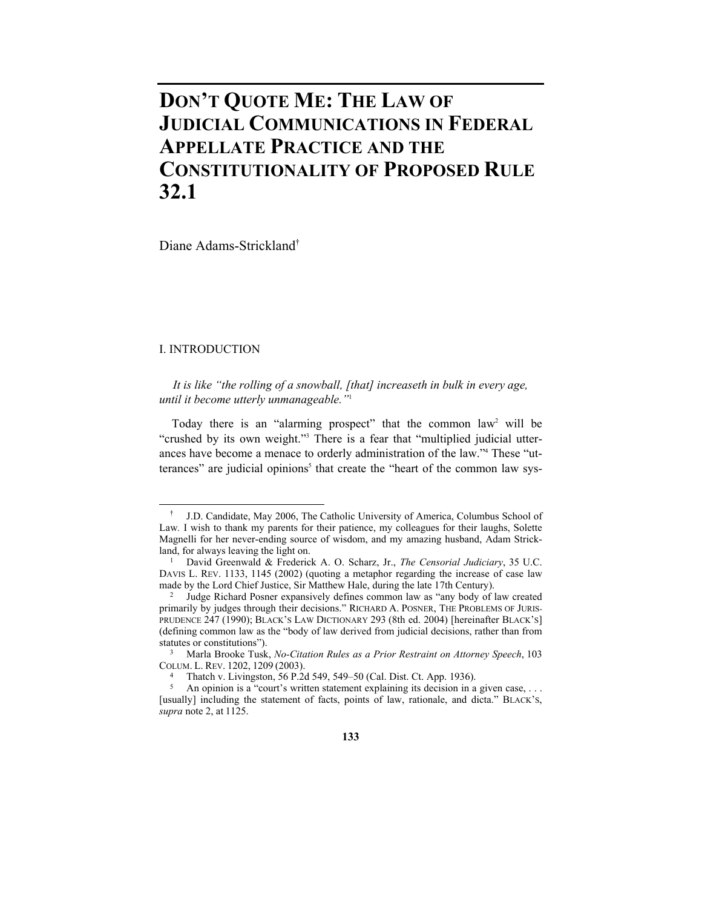# **DON'T QUOTE ME: THE LAW OF JUDICIAL COMMUNICATIONS IN FEDERAL APPELLATE PRACTICE AND THE CONSTITUTIONALITY OF PROPOSED RULE 32.1**

Diane Adams-Strickland†

# I. INTRODUCTION

1

*It is like "the rolling of a snowball, [that] increaseth in bulk in every age, until it become utterly unmanageable."*<sup>1</sup>

Today there is an "alarming prospect" that the common law<sup>2</sup> will be "crushed by its own weight."<sup>3</sup> There is a fear that "multiplied judicial utterances have become a menace to orderly administration of the law."4 These "utterances" are judicial opinions<sup>5</sup> that create the "heart of the common law sys-

 <sup>†</sup> J.D. Candidate, May 2006, The Catholic University of America, Columbus School of Law. I wish to thank my parents for their patience, my colleagues for their laughs, Solette Magnelli for her never-ending source of wisdom, and my amazing husband, Adam Strickland, for always leaving the light on. 1 David Greenwald & Frederick A. O. Scharz, Jr., *The Censorial Judiciary*, <sup>35</sup> U.C.

DAVIS L. REV. 1133, 1145 (2002) (quoting a metaphor regarding the increase of case law made by the Lord Chief Justice, Sir Matthew Hale, during the late 17th Century).

<sup>&</sup>lt;sup>2</sup> Judge Richard Posner expansively defines common law as "any body of law created primarily by judges through their decisions." RICHARD A. POSNER, THE PROBLEMS OF JURIS-PRUDENCE 247 (1990); BLACK'S LAW DICTIONARY 293 (8th ed. 2004) [hereinafter BLACK'S] (defining common law as the "body of law derived from judicial decisions, rather than from

Statutute Statute Tusk, *No-Citation Rules as a Prior Restraint on Attorney Speech*, 103 COLUM. L. REV. 1202, 1209 (2003). 4 Thatch v. Livingston, 56 P.2d 549, 549–50 (Cal. Dist. Ct. App. 1936). 4 Thatch v. Livingston, 56 P.2d 549, 549–50 (Cal. Dist. Ct. App. 1936). 4 An opinion is a "court's written statement

<sup>[</sup>usually] including the statement of facts, points of law, rationale, and dicta." BLACK'S, *supra* note 2, at 1125.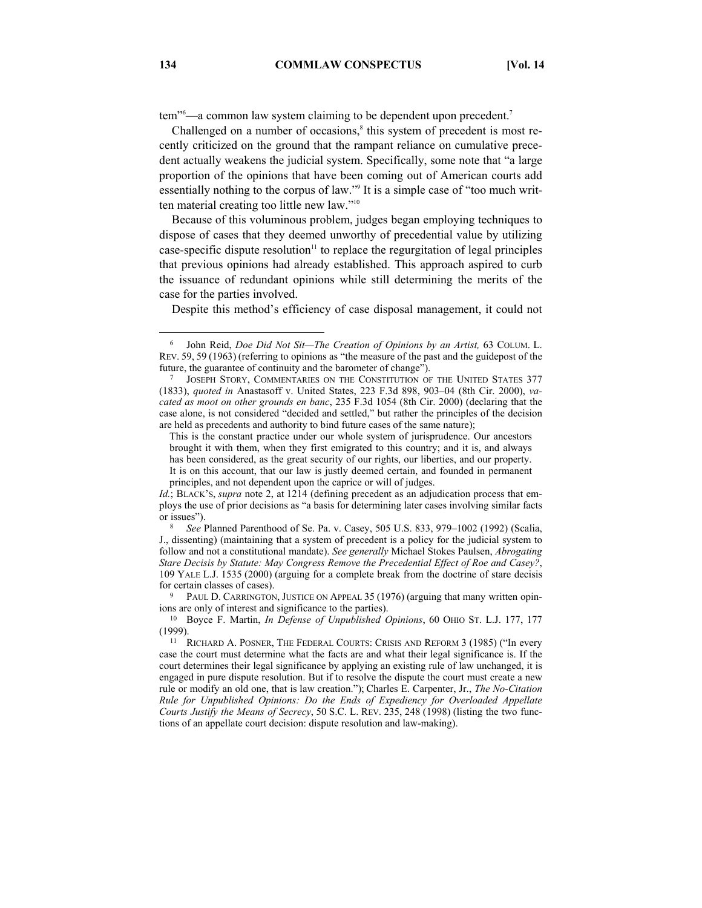tem"<sup>6</sup>—a common law system claiming to be dependent upon precedent.<sup>7</sup>

Challenged on a number of occasions, $\delta$  this system of precedent is most recently criticized on the ground that the rampant reliance on cumulative precedent actually weakens the judicial system. Specifically, some note that "a large proportion of the opinions that have been coming out of American courts add essentially nothing to the corpus of law."<sup>9</sup> It is a simple case of "too much written material creating too little new law."10

Because of this voluminous problem, judges began employing techniques to dispose of cases that they deemed unworthy of precedential value by utilizing case-specific dispute resolution $\mathbf{u}^{\text{1}}$  to replace the regurgitation of legal principles that previous opinions had already established. This approach aspired to curb the issuance of redundant opinions while still determining the merits of the case for the parties involved.

Despite this method's efficiency of case disposal management, it could not

 <sup>6</sup> John Reid, *Doe Did Not Sit—The Creation of Opinions by an Artist,* 63 COLUM. L. REV. 59, 59 (1963) (referring to opinions as "the measure of the past and the guidepost of the future, the guarantee of continuity and the barometer of change"). 7 JOSEPH STORY, COMMENTARIES ON THE CONSTITUTION OF THE UNITED STATES 377

<sup>(1833),</sup> *quoted in* Anastasoff v. United States, 223 F.3d 898, 903–04 (8th Cir. 2000), *vacated as moot on other grounds en banc*, 235 F.3d 1054 (8th Cir. 2000) (declaring that the case alone, is not considered "decided and settled," but rather the principles of the decision are held as precedents and authority to bind future cases of the same nature);

This is the constant practice under our whole system of jurisprudence. Our ancestors brought it with them, when they first emigrated to this country; and it is, and always has been considered, as the great security of our rights, our liberties, and our property. It is on this account, that our law is justly deemed certain, and founded in permanent

principles, and not dependent upon the caprice or will of judges.

*Id.*; BLACK's, *supra* note 2, at 1214 (defining precedent as an adjudication process that employs the use of prior decisions as "a basis for determining later cases involving similar facts or issues"). 8 *See* Planned Parenthood of Se. Pa. v. Casey, 505 U.S. 833, 979–1002 (1992) (Scalia,

J., dissenting) (maintaining that a system of precedent is a policy for the judicial system to follow and not a constitutional mandate). *See generally* Michael Stokes Paulsen, *Abrogating Stare Decisis by Statute: May Congress Remove the Precedential Effect of Roe and Casey?*, 109 YALE L.J. 1535 (2000) (arguing for a complete break from the doctrine of stare decisis for certain classes of cases).<br><sup>9</sup> PAUL D. CARRINGTON, JUSTICE ON APPEAL 35 (1976) (arguing that many written opin-

ions are only of interest and significance to the parties). 10 Boyce F. Martin, *In Defense of Unpublished Opinions*, <sup>60</sup> OHIO ST. L.J. 177, <sup>177</sup>

<sup>(1999).&</sup>lt;br><sup>11</sup> RICHARD A. POSNER, THE FEDERAL COURTS: CRISIS AND REFORM 3 (1985) ("In every

case the court must determine what the facts are and what their legal significance is. If the court determines their legal significance by applying an existing rule of law unchanged, it is engaged in pure dispute resolution. But if to resolve the dispute the court must create a new rule or modify an old one, that is law creation."); Charles E. Carpenter, Jr., *The No-Citation Rule for Unpublished Opinions: Do the Ends of Expediency for Overloaded Appellate Courts Justify the Means of Secrecy*, 50 S.C. L. REV. 235, 248 (1998) (listing the two functions of an appellate court decision: dispute resolution and law-making).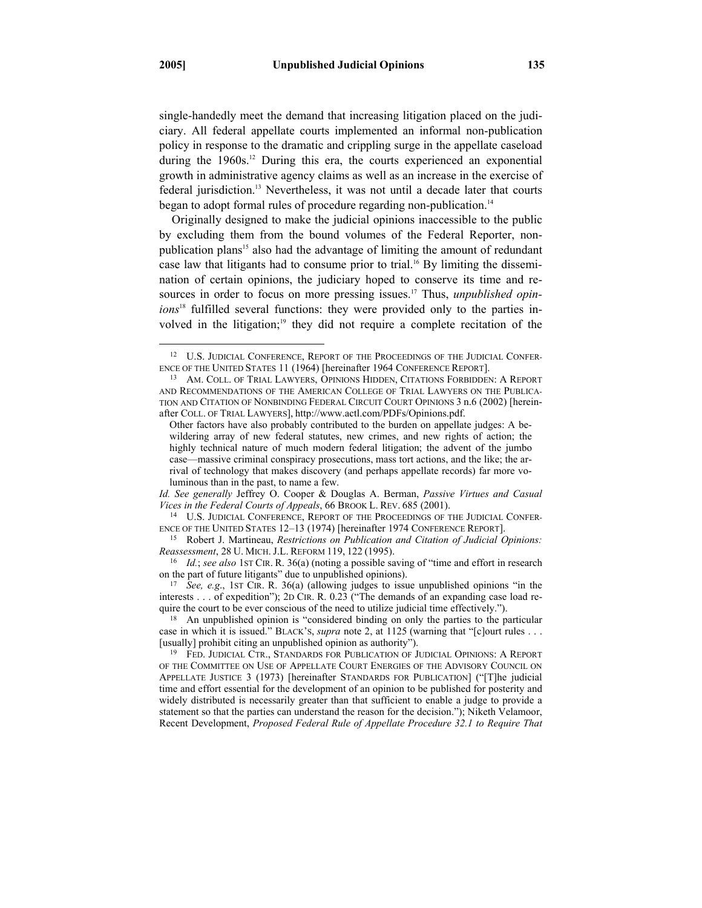single-handedly meet the demand that increasing litigation placed on the judiciary. All federal appellate courts implemented an informal non-publication policy in response to the dramatic and crippling surge in the appellate caseload during the  $1960s$ <sup>12</sup> During this era, the courts experienced an exponential growth in administrative agency claims as well as an increase in the exercise of federal jurisdiction.<sup>13</sup> Nevertheless, it was not until a decade later that courts began to adopt formal rules of procedure regarding non-publication.<sup>14</sup>

Originally designed to make the judicial opinions inaccessible to the public by excluding them from the bound volumes of the Federal Reporter, nonpublication plans<sup>15</sup> also had the advantage of limiting the amount of redundant case law that litigants had to consume prior to trial.<sup>16</sup> By limiting the dissemination of certain opinions, the judiciary hoped to conserve its time and resources in order to focus on more pressing issues.<sup>17</sup> Thus, *unpublished opinions*18 fulfilled several functions: they were provided only to the parties involved in the litigation;<sup>19</sup> they did not require a complete recitation of the

*Id. See generally* Jeffrey O. Cooper & Douglas A. Berman, *Passive Virtues and Casual* 

*Vices in the Federal Courts of Appeals*, 66 BROOK L. REV. 685 (2001).<br><sup>14</sup> U.S. JUDICIAL CONFERENCE, REPORT OF THE PROCEEDINGS OF THE JUDICIAL CONFERENCE OF THE UNITED STATES 12–13 (1974) [hereinafter 1974 CONFERENCE REPO

<sup>15</sup> Robert J. Martineau, *Restrictions on Publication and Citation of Judicial Opinions: Reassessment*, 28 U. MICH. J.L. REFORM 119, 122 (1995).

<sup>16</sup> *Id.*; *see also* 1ST CIR. R. 36(a) (noting a possible saving of "time and effort in research on the part of future litigants" due to unpublished opinions). 17 *See, e.g*., 1ST CIR. R. 36(a) (allowing judges to issue unpublished opinions "in the

interests . . . of expedition"); 2D CIR. R. 0.23 ("The demands of an expanding case load require the court to be ever conscious of the need to utilize judicial time effectively.").

 $18$  An unpublished opinion is "considered binding on only the parties to the particular case in which it is issued." BLACK'S, *supra* note 2, at 1125 (warning that "[c]ourt rules . . . [usually] prohibit citing an unpublished opinion as authority"). 19 FED. JUDICIAL CTR., STANDARDS FOR PUBLICATION OF JUDICIAL OPINIONS: <sup>A</sup> REPORT

OF THE COMMITTEE ON USE OF APPELLATE COURT ENERGIES OF THE ADVISORY COUNCIL ON APPELLATE JUSTICE 3 (1973) [hereinafter STANDARDS FOR PUBLICATION] ("[T]he judicial time and effort essential for the development of an opinion to be published for posterity and widely distributed is necessarily greater than that sufficient to enable a judge to provide a statement so that the parties can understand the reason for the decision."); Niketh Velamoor, Recent Development, *Proposed Federal Rule of Appellate Procedure 32.1 to Require That* 

<sup>&</sup>lt;sup>12</sup> U.S. JUDICIAL CONFERENCE, REPORT OF THE PROCEEDINGS OF THE JUDICIAL CONFER-ENCE OF THE UNITED STATES 11 (1964) [hereinafter 1964 CONFERENCE REPORT].<br><sup>13</sup> AM. COLL. OF TRIAL LAWYERS, OPINIONS HIDDEN, CITATIONS FORBIDDEN: A REPORT

AND RECOMMENDATIONS OF THE AMERICAN COLLEGE OF TRIAL LAWYERS ON THE PUBLICA-TION AND CITATION OF NONBINDING FEDERAL CIRCUIT COURT OPINIONS 3 n.6 (2002) [hereinafter COLL. OF TRIAL LAWYERS], http://www.actl.com/PDFs/Opinions.pdf.

Other factors have also probably contributed to the burden on appellate judges: A bewildering array of new federal statutes, new crimes, and new rights of action; the highly technical nature of much modern federal litigation; the advent of the jumbo case—massive criminal conspiracy prosecutions, mass tort actions, and the like; the arrival of technology that makes discovery (and perhaps appellate records) far more voluminous than in the past, to name a few.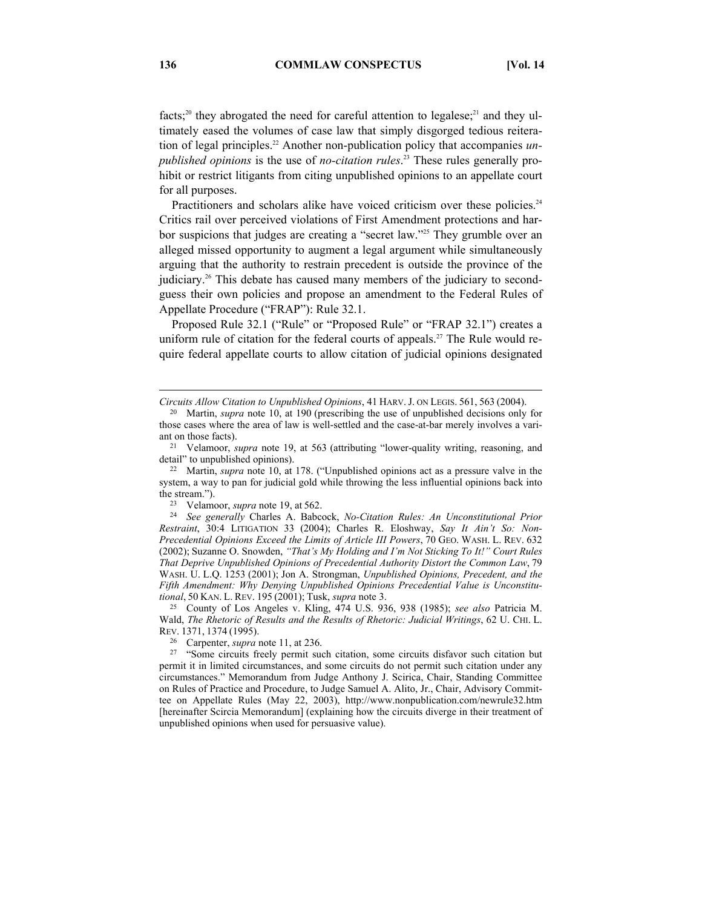facts;<sup>20</sup> they abrogated the need for careful attention to legalese;<sup>21</sup> and they ultimately eased the volumes of case law that simply disgorged tedious reiteration of legal principles.<sup>22</sup> Another non-publication policy that accompanies *unpublished opinions* is the use of *no-citation rules*. 23 These rules generally prohibit or restrict litigants from citing unpublished opinions to an appellate court for all purposes.

Practitioners and scholars alike have voiced criticism over these policies.<sup>24</sup> Critics rail over perceived violations of First Amendment protections and harbor suspicions that judges are creating a "secret law."<sup>25</sup> They grumble over an alleged missed opportunity to augment a legal argument while simultaneously arguing that the authority to restrain precedent is outside the province of the judiciary.<sup>26</sup> This debate has caused many members of the judiciary to secondguess their own policies and propose an amendment to the Federal Rules of Appellate Procedure ("FRAP"): Rule 32.1.

Proposed Rule 32.1 ("Rule" or "Proposed Rule" or "FRAP 32.1") creates a uniform rule of citation for the federal courts of appeals.<sup>27</sup> The Rule would require federal appellate courts to allow citation of judicial opinions designated

*Restraint*, 30:4 LITIGATION 33 (2004); Charles R. Eloshway, *Say It Ain't So: Non-Precedential Opinions Exceed the Limits of Article III Powers*, 70 GEO. WASH. L. REV. 632 (2002); Suzanne O. Snowden, *"That's My Holding and I'm Not Sticking To It!" Court Rules That Deprive Unpublished Opinions of Precedential Authority Distort the Common Law*, 79 WASH. U. L.Q. 1253 (2001); Jon A. Strongman, *Unpublished Opinions, Precedent, and the Fifth Amendment: Why Denying Unpublished Opinions Precedential Value is Unconstitutional*, <sup>50</sup> KAN. L. REV. <sup>195</sup> (2001); Tusk, *supra* note 3. 25 County of Los Angeles v. Kling, 474 U.S. 936, 938 (1985); *see also* Patricia M.

Wald, *The Rhetoric of Results and the Results of Rhetoric: Judicial Writings*, 62 U. CHI. L. REV. 1371, 1374 (1995).<br><sup>26</sup> Carpenter, *supra* note 11, at 236.<br><sup>27</sup> "Some circuits freely permit such citation, some circuits disfavor such citation but

 $\overline{a}$ 

*Circuits Allow Citation to Unpublished Opinions*, 41 HARV. J. ON LEGIS. 561, 563 (2004).

<sup>20</sup> Martin, *supra* note 10, at 190 (prescribing the use of unpublished decisions only for those cases where the area of law is well-settled and the case-at-bar merely involves a vari-

ant on those facts).<br><sup>21</sup> Velamoor, *supra* note 19, at 563 (attributing "lower-quality writing, reasoning, and detail" to unpublished opinions).

<sup>&</sup>lt;sup>22</sup> Martin, *supra* note 10, at 178. ("Unpublished opinions act as a pressure valve in the system, a way to pan for judicial gold while throwing the less influential opinions back into the stream."). 23 Velamoor, *supra* note 19, at 562. 24 *See generally* Charles A. Babcock, *No-Citation Rules: An Unconstitutional Prior* 

permit it in limited circumstances, and some circuits do not permit such citation under any circumstances." Memorandum from Judge Anthony J. Scirica, Chair, Standing Committee on Rules of Practice and Procedure, to Judge Samuel A. Alito, Jr., Chair, Advisory Committee on Appellate Rules (May 22, 2003), http://www.nonpublication.com/newrule32.htm [hereinafter Scircia Memorandum] (explaining how the circuits diverge in their treatment of unpublished opinions when used for persuasive value).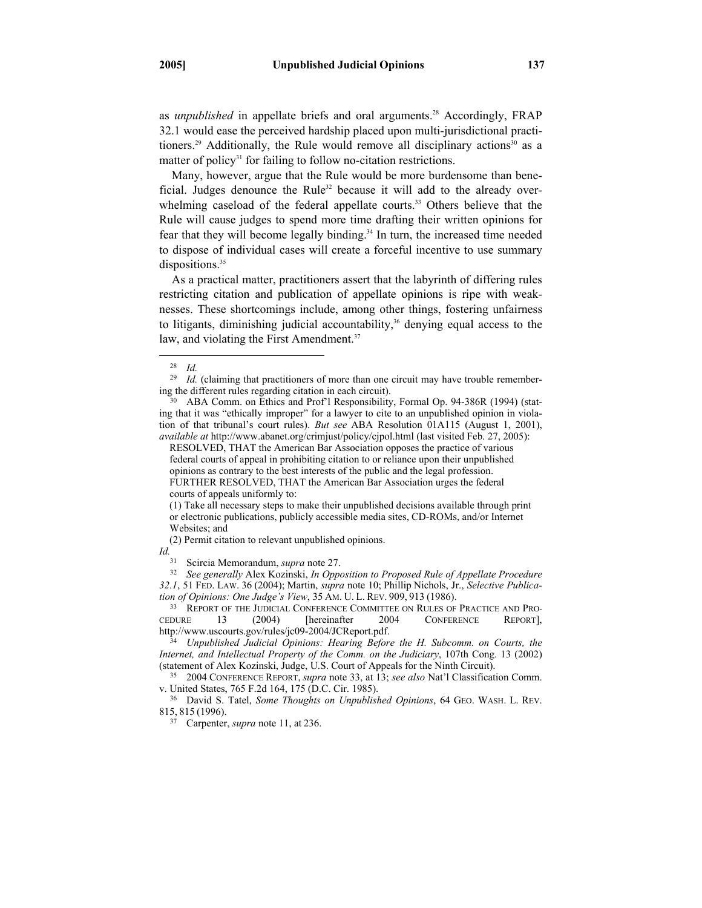as *unpublished* in appellate briefs and oral arguments.<sup>28</sup> Accordingly, FRAP 32.1 would ease the perceived hardship placed upon multi-jurisdictional practitioners.<sup>29</sup> Additionally, the Rule would remove all disciplinary actions<sup>30</sup> as a matter of policy<sup>31</sup> for failing to follow no-citation restrictions.

Many, however, argue that the Rule would be more burdensome than beneficial. Judges denounce the Rule<sup>32</sup> because it will add to the already overwhelming caseload of the federal appellate courts.<sup>33</sup> Others believe that the Rule will cause judges to spend more time drafting their written opinions for fear that they will become legally binding.34 In turn, the increased time needed to dispose of individual cases will create a forceful incentive to use summary dispositions.<sup>35</sup>

As a practical matter, practitioners assert that the labyrinth of differing rules restricting citation and publication of appellate opinions is ripe with weaknesses. These shortcomings include, among other things, fostering unfairness to litigants, diminishing judicial accountability, $36$  denying equal access to the law, and violating the First Amendment.<sup>37</sup>

(2) Permit citation to relevant unpublished opinions.

 <sup>28</sup> *Id.* 

<sup>&</sup>lt;sup>29</sup> *Id.* (claiming that practitioners of more than one circuit may have trouble remember-<br>ing the different rules regarding citation in each circuit).

<sup>&</sup>lt;sup>30</sup> ABA Comm. on Ethics and Prof'l Responsibility, Formal Op. 94-386R (1994) (stating that it was "ethically improper" for a lawyer to cite to an unpublished opinion in violation of that tribunal's court rules). *But see* ABA Resolution 01A115 (August 1, 2001), *available at* http://www.abanet.org/crimjust/policy/cjpol.html (last visited Feb. 27, 2005):

RESOLVED, THAT the American Bar Association opposes the practice of various federal courts of appeal in prohibiting citation to or reliance upon their unpublished opinions as contrary to the best interests of the public and the legal profession. FURTHER RESOLVED, THAT the American Bar Association urges the federal courts of appeals uniformly to:

<sup>(1)</sup> Take all necessary steps to make their unpublished decisions available through print or electronic publications, publicly accessible media sites, CD-ROMs, and/or Internet Websites; and

*Id.* Scircia Memorandum, *supra* note 27.

<sup>&</sup>lt;sup>32</sup> See generally Alex Kozinski, *In Opposition to Proposed Rule of Appellate Procedure 32.1*, 51 FED. LAW. 36 (2004); Martin, *supra* note 10; Phillip Nichols, Jr., *Selective Publication of Opinions: One Judge's View*, 35 AM. U. L. REV. 909, 913 (1986).<br><sup>33</sup> REPORT OF THE JUDICIAL CONFERENCE COMMITTEE ON RULES OF PRACTICE AND PRO-

CEDURE 13 (2004) [hereinafter 2004 CONFERENCE REPORT],<br>http://www.uscourts.gov/rules/jc09-2004/JCReport.pdf.

 $\frac{1}{34}$  Unpublished Judicial Opinions: Hearing Before the H. Subcomm. on Courts, the *Internet, and Intellectual Property of the Comm. on the Judiciary*, 107th Cong. 13 (2002)

<sup>(</sup>statement of Alex Kozinski, Judge, U.S. Court of Appeals for the Ninth Circuit). 35 2004 CONFERENCE REPORT, *supra* note 33, at 13; *see also* Nat'l Classification Comm.

<sup>&</sup>lt;sup>36</sup> David S. Tatel, *Some Thoughts on Unpublished Opinions*, 64 GEO. WASH. L. REV. 815, <sup>815</sup> (1996). 37 Carpenter, *supra* note 11, at 236.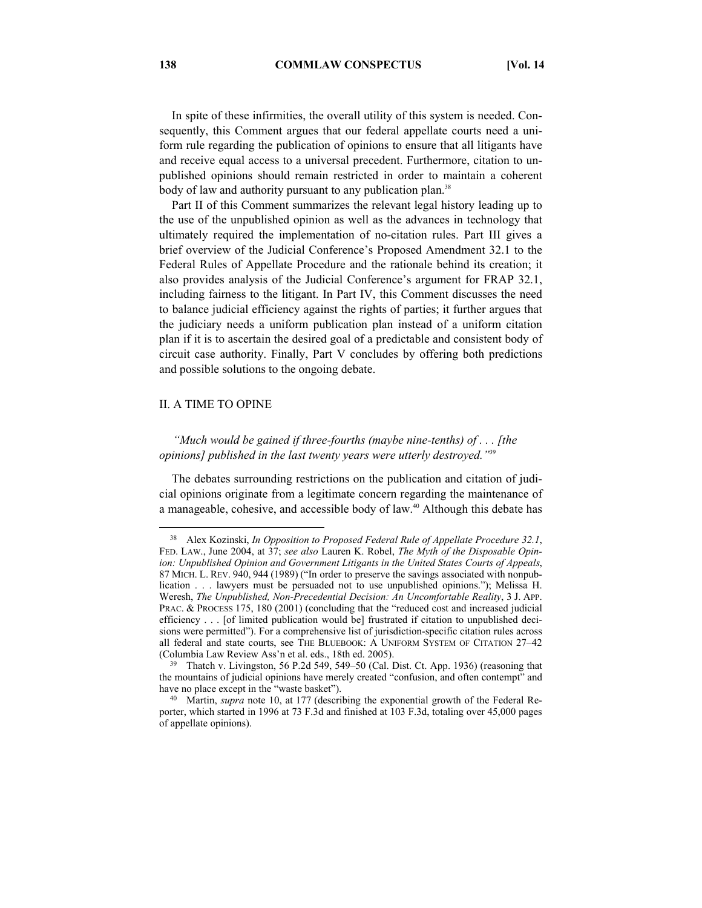In spite of these infirmities, the overall utility of this system is needed. Consequently, this Comment argues that our federal appellate courts need a uniform rule regarding the publication of opinions to ensure that all litigants have and receive equal access to a universal precedent. Furthermore, citation to unpublished opinions should remain restricted in order to maintain a coherent body of law and authority pursuant to any publication plan.<sup>38</sup>

Part II of this Comment summarizes the relevant legal history leading up to the use of the unpublished opinion as well as the advances in technology that ultimately required the implementation of no-citation rules. Part III gives a brief overview of the Judicial Conference's Proposed Amendment 32.1 to the Federal Rules of Appellate Procedure and the rationale behind its creation; it also provides analysis of the Judicial Conference's argument for FRAP 32.1, including fairness to the litigant. In Part IV, this Comment discusses the need to balance judicial efficiency against the rights of parties; it further argues that the judiciary needs a uniform publication plan instead of a uniform citation plan if it is to ascertain the desired goal of a predictable and consistent body of circuit case authority. Finally, Part V concludes by offering both predictions and possible solutions to the ongoing debate.

## II. A TIME TO OPINE

# *"Much would be gained if three-fourths (maybe nine-tenths) of . . . [the opinions] published in the last twenty years were utterly destroyed."*<sup>39</sup>

The debates surrounding restrictions on the publication and citation of judicial opinions originate from a legitimate concern regarding the maintenance of a manageable, cohesive, and accessible body of law.<sup>40</sup> Although this debate has

 <sup>38</sup> Alex Kozinski, *In Opposition to Proposed Federal Rule of Appellate Procedure 32.1*, FED. LAW., June 2004, at 37; *see also* Lauren K. Robel, *The Myth of the Disposable Opinion: Unpublished Opinion and Government Litigants in the United States Courts of Appeals*, 87 MICH. L. REV. 940, 944 (1989) ("In order to preserve the savings associated with nonpublication . . . lawyers must be persuaded not to use unpublished opinions."); Melissa H. Weresh, *The Unpublished, Non-Precedential Decision: An Uncomfortable Reality*, 3 J. APP. PRAC. & PROCESS 175, 180 (2001) (concluding that the "reduced cost and increased judicial efficiency . . . [of limited publication would be] frustrated if citation to unpublished decisions were permitted"). For a comprehensive list of jurisdiction-specific citation rules across all federal and state courts, see THE BLUEBOOK: A UNIFORM SYSTEM OF CITATION 27–42 (Columbia Law Review Ass'n et al. eds., 18th ed. 2005).

<sup>&</sup>lt;sup>39</sup> Thatch v. Livingston, 56 P.2d 549, 549–50 (Cal. Dist. Ct. App. 1936) (reasoning that the mountains of judicial opinions have merely created "confusion, and often contempt" and

have no place except in the "waste basket"). 40 Martin, *supra* note 10, at <sup>177</sup> (describing the exponential growth of the Federal Reporter, which started in 1996 at 73 F.3d and finished at 103 F.3d, totaling over 45,000 pages of appellate opinions).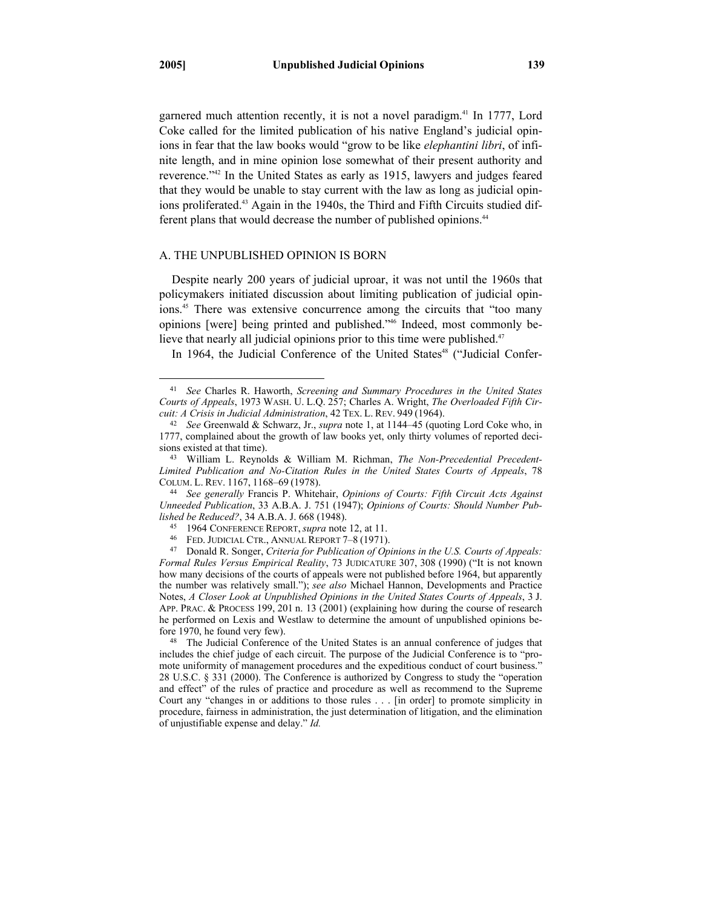garnered much attention recently, it is not a novel paradigm.41 In 1777, Lord Coke called for the limited publication of his native England's judicial opinions in fear that the law books would "grow to be like *elephantini libri*, of infinite length, and in mine opinion lose somewhat of their present authority and reverence."42 In the United States as early as 1915, lawyers and judges feared that they would be unable to stay current with the law as long as judicial opinions proliferated.<sup>43</sup> Again in the 1940s, the Third and Fifth Circuits studied different plans that would decrease the number of published opinions.<sup>44</sup>

## A. THE UNPUBLISHED OPINION IS BORN

Despite nearly 200 years of judicial uproar, it was not until the 1960s that policymakers initiated discussion about limiting publication of judicial opinions.<sup>45</sup> There was extensive concurrence among the circuits that "too many opinions [were] being printed and published."46 Indeed, most commonly believe that nearly all judicial opinions prior to this time were published.<sup>47</sup>

In 1964, the Judicial Conference of the United States<sup>48</sup> ("Judicial Confer-

<sup>44</sup> See generally Francis P. Whitehair, *Opinions of Courts: Fifth Circuit Acts Against Unneeded Publication*, 33 A.B.A. J. 751 (1947); *Opinions of Courts: Should Number Pub*lished be Reduced?, 34 A.B.A. J. 668 (1948).<br><sup>45</sup> 1964 CONFERENCE REPORT, *supra* note 12, at 11.<br><sup>46</sup> FED. JUDICIAL CTR., ANNUAL REPORT 7–8 (1971).<br><sup>47</sup> Donald R. Songer, *Criteria for Publication of Opinions in the U.S.* 

fore 1970, he found very few). 48 The Judicial Conference of the United States is an annual conference of judges that includes the chief judge of each circuit. The purpose of the Judicial Conference is to "promote uniformity of management procedures and the expeditious conduct of court business." 28 U.S.C. § 331 (2000). The Conference is authorized by Congress to study the "operation and effect" of the rules of practice and procedure as well as recommend to the Supreme Court any "changes in or additions to those rules . . . [in order] to promote simplicity in procedure, fairness in administration, the just determination of litigation, and the elimination of unjustifiable expense and delay." *Id.*

 <sup>41</sup> *See* Charles R. Haworth, *Screening and Summary Procedures in the United States Courts of Appeals*, 1973 WASH. U. L.Q. 257; Charles A. Wright, *The Overloaded Fifth Cir-*

<sup>&</sup>lt;sup>42</sup> See Greenwald & Schwarz, Jr., *supra* note 1, at 1144–45 (quoting Lord Coke who, in 1777, complained about the growth of law books yet, only thirty volumes of reported decisions existed at that time). 43 William L. Reynolds & William M. Richman, *The Non-Precedential Precedent-*

*Limited Publication and No-Citation Rules in the United States Courts of Appeals*, 78

*Formal Rules Versus Empirical Reality*, 73 JUDICATURE 307, 308 (1990) ("It is not known how many decisions of the courts of appeals were not published before 1964, but apparently the number was relatively small."); *see also* Michael Hannon, Developments and Practice Notes, *A Closer Look at Unpublished Opinions in the United States Courts of Appeals*, 3 J. APP. PRAC. & PROCESS 199, 201 n. 13 (2001) (explaining how during the course of research he performed on Lexis and Westlaw to determine the amount of unpublished opinions be-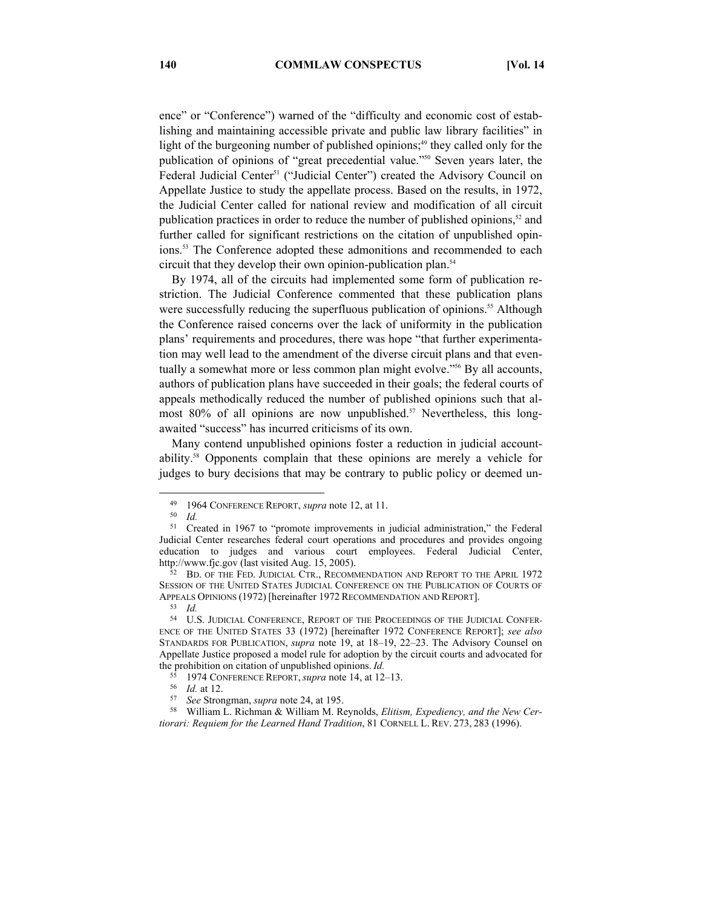ence" or "Conference") warned of the "difficulty and economic cost of establishing and maintaining accessible private and public law library facilities" in light of the burgeoning number of published opinions;<sup>49</sup> they called only for the publication of opinions of "great precedential value."50 Seven years later, the Federal Judicial Center<sup>51</sup> ("Judicial Center") created the Advisory Council on Appellate Justice to study the appellate process. Based on the results, in 1972, the Judicial Center called for national review and modification of all circuit publication practices in order to reduce the number of published opinions, $52$  and further called for significant restrictions on the citation of unpublished opinions.<sup>53</sup> The Conference adopted these admonitions and recommended to each circuit that they develop their own opinion-publication plan.<sup>54</sup>

By 1974, all of the circuits had implemented some form of publication restriction. The Judicial Conference commented that these publication plans were successfully reducing the superfluous publication of opinions.<sup>55</sup> Although the Conference raised concerns over the lack of uniformity in the publication plans' requirements and procedures, there was hope "that further experimentation may well lead to the amendment of the diverse circuit plans and that eventually a somewhat more or less common plan might evolve."<sup>56</sup> By all accounts, authors of publication plans have succeeded in their goals; the federal courts of appeals methodically reduced the number of published opinions such that almost 80% of all opinions are now unpublished.<sup>57</sup> Nevertheless, this longawaited "success" has incurred criticisms of its own.

Many contend unpublished opinions foster a reduction in judicial accountability.58 Opponents complain that these opinions are merely a vehicle for judges to bury decisions that may be contrary to public policy or deemed un-

 <sup>49 1964</sup> CONFERENCE REPORT, *supra* note 12, at 11. 50 *Id.* 

<sup>51</sup> Created in 1967 to "promote improvements in judicial administration," the Federal Judicial Center researches federal court operations and procedures and provides ongoing education to judges and various court employees. Federal Judicial Center,

http://www.fjc.gov (last visited Aug. 15, 2005).<br><sup>52</sup> BD. OF THE FED. JUDICIAL CTR., RECOMMENDATION AND REPORT TO THE APRIL 1972 SESSION OF THE UNITED STATES JUDICIAL CONFERENCE ON THE PUBLICATION OF COURTS OF APPEALS OPINIONS (1972) [hereinafter 1972 RECOMMENDATION AND REPORT]. 53 *Id.* 

<sup>54</sup> U.S. JUDICIAL CONFERENCE, REPORT OF THE PROCEEDINGS OF THE JUDICIAL CONFER-ENCE OF THE UNITED STATES 33 (1972) [hereinafter 1972 CONFERENCE REPORT]; *see also*  STANDARDS FOR PUBLICATION, *supra* note 19, at 18–19, 22–23. The Advisory Counsel on Appellate Justice proposed a model rule for adoption by the circuit courts and advocated for the prohibition on citation of unpublished opinions. *Id.*

<sup>&</sup>lt;sup>55</sup> 1974 CONFERENCE REPORT, *supra* note 14, at 12–13.<br><sup>56</sup> *Id.* at 12.<br><sup>57</sup> *See* Strongman, *supra* note 24, at 195.<br><sup>57</sup> *See* Strongman, *supra* note 24, at 195.<br><sup>58</sup> William L. Richman & William M. Reynolds, *Eliti tiorari: Requiem for the Learned Hand Tradition*, 81 CORNELL L. REV. 273, 283 (1996).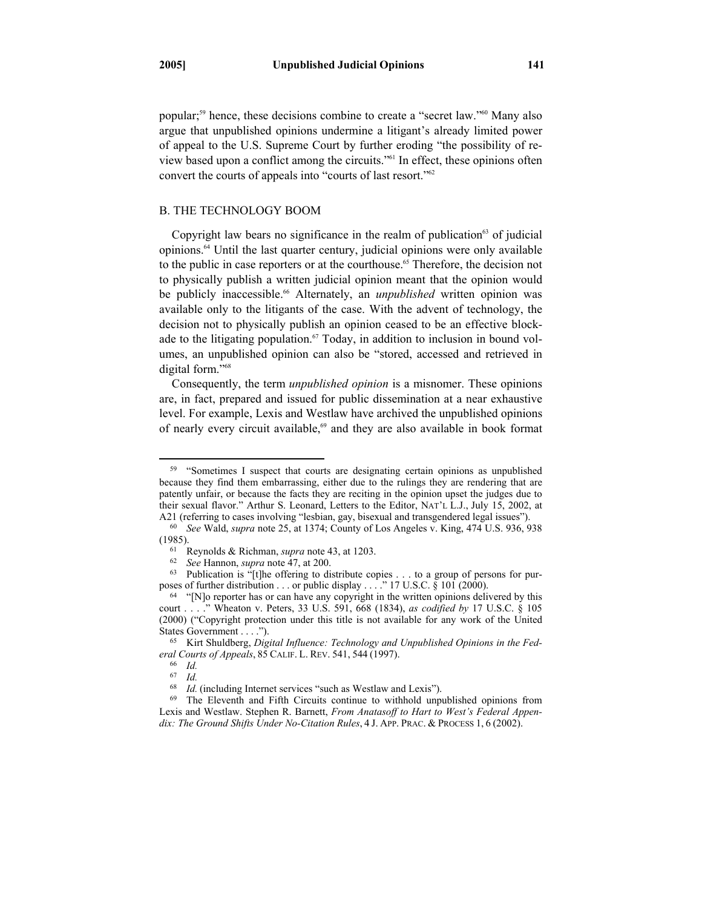popular;59 hence, these decisions combine to create a "secret law."60 Many also argue that unpublished opinions undermine a litigant's already limited power of appeal to the U.S. Supreme Court by further eroding "the possibility of review based upon a conflict among the circuits."61 In effect, these opinions often convert the courts of appeals into "courts of last resort."<sup>62</sup>

# B. THE TECHNOLOGY BOOM

Copyright law bears no significance in the realm of publication $63$  of judicial opinions.64 Until the last quarter century, judicial opinions were only available to the public in case reporters or at the courthouse.<sup>65</sup> Therefore, the decision not to physically publish a written judicial opinion meant that the opinion would be publicly inaccessible.<sup>66</sup> Alternately, an *unpublished* written opinion was available only to the litigants of the case. With the advent of technology, the decision not to physically publish an opinion ceased to be an effective blockade to the litigating population.<sup>67</sup> Today, in addition to inclusion in bound volumes, an unpublished opinion can also be "stored, accessed and retrieved in digital form."<sup>68</sup>

Consequently, the term *unpublished opinion* is a misnomer. These opinions are, in fact, prepared and issued for public dissemination at a near exhaustive level. For example, Lexis and Westlaw have archived the unpublished opinions of nearly every circuit available,<sup>69</sup> and they are also available in book format

<sup>&</sup>lt;sup>59</sup> "Sometimes I suspect that courts are designating certain opinions as unpublished because they find them embarrassing, either due to the rulings they are rendering that are patently unfair, or because the facts they are reciting in the opinion upset the judges due to their sexual flavor." Arthur S. Leonard, Letters to the Editor, NAT'L L.J., July 15, 2002, at A21 (referring to cases involving "lesbian, gay, bisexual and transgendered legal issues").

<sup>&</sup>lt;sup>60</sup> See Wald, supra note 25, at 1374; County of Los Angeles v. King, 474 U.S. 936, 938

<sup>(1985).&</sup>lt;br>
<sup>61</sup> Reynolds & Richman, *supra* note 43, at 1203.<br>
<sup>62</sup> *See* Hannon, *supra* note 47, at 200.<br>
<sup>63</sup> Publication is "[t]he offering to distribute copies . . . to a group of persons for pur-<br>
poses of further dis

 $64$  "[N]o reporter has or can have any copyright in the written opinions delivered by this court . . . ." Wheaton v. Peters, 33 U.S. 591, 668 (1834), *as codified by* 17 U.S.C. § 105 (2000) ("Copyright protection under this title is not available for any work of the United States Government . . . .").<br><sup>65</sup> Kirt Shuldberg, *Digital Influence: Technology and Unpublished Opinions in the Fed-*

*eral Courts of Appeals*, <sup>85</sup> CALIF. L. REV. 541, <sup>544</sup> (1997). 66 *Id.* 

<sup>&</sup>lt;sup>67</sup> *Id.*<br><sup>68</sup> *Id.* (including Internet services "such as Westlaw and Lexis").

<sup>&</sup>lt;sup>69</sup> The Eleventh and Fifth Circuits continue to withhold unpublished opinions from Lexis and Westlaw. Stephen R. Barnett, *From Anatasoff to Hart to West's Federal Appendix: The Ground Shifts Under No-Citation Rules*, 4 J. APP. PRAC. & PROCESS 1, 6 (2002).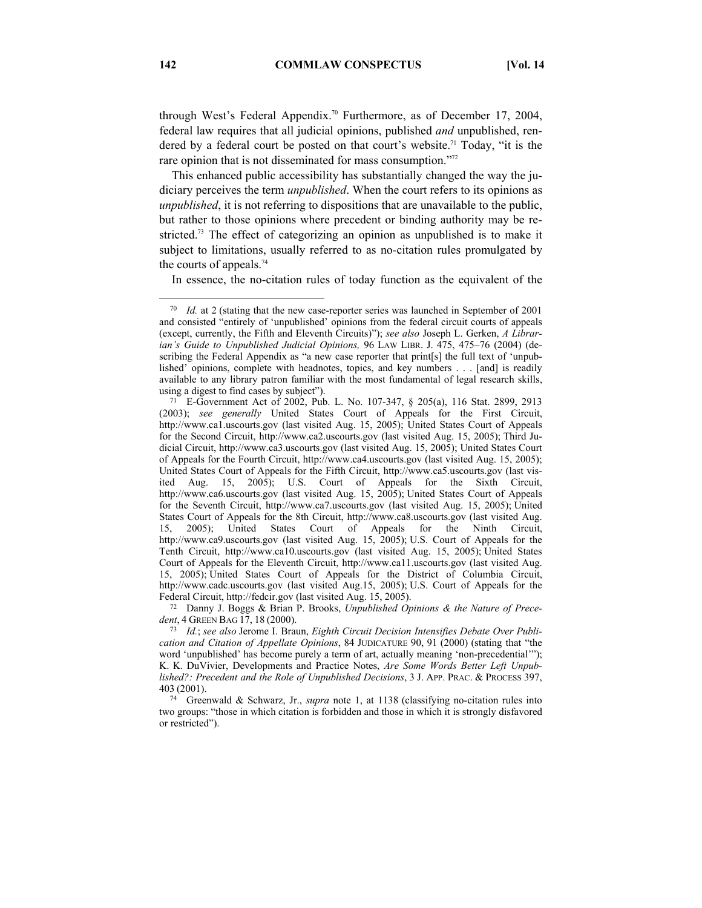through West's Federal Appendix.70 Furthermore, as of December 17, 2004, federal law requires that all judicial opinions, published *and* unpublished, rendered by a federal court be posted on that court's website.<sup>71</sup> Today, "it is the rare opinion that is not disseminated for mass consumption."<sup>72</sup>

This enhanced public accessibility has substantially changed the way the judiciary perceives the term *unpublished*. When the court refers to its opinions as *unpublished*, it is not referring to dispositions that are unavailable to the public, but rather to those opinions where precedent or binding authority may be restricted.73 The effect of categorizing an opinion as unpublished is to make it subject to limitations, usually referred to as no-citation rules promulgated by the courts of appeals.<sup>74</sup>

In essence, the no-citation rules of today function as the equivalent of the

*dent*, <sup>4</sup> GREEN BAG 17, <sup>18</sup> (2000). 73 *Id.*; *see also* Jerome I. Braun, *Eighth Circuit Decision Intensifies Debate Over Publi-*

 <sup>70</sup> *Id.* at 2 (stating that the new case-reporter series was launched in September of 2001 and consisted "entirely of 'unpublished' opinions from the federal circuit courts of appeals (except, currently, the Fifth and Eleventh Circuits)"); *see also* Joseph L. Gerken, *A Librarian's Guide to Unpublished Judicial Opinions,* 96 LAW LIBR. J. 475, 475–76 (2004) (describing the Federal Appendix as "a new case reporter that print [s] the full text of 'unpublished' opinions, complete with headnotes, topics, and key numbers . . . [and] is readily available to any library patron familiar with the most fundamental of legal research skills, using a digest to find cases by subject").<br><sup>71</sup> E-Government Act of 2002, Pub. L. No. 107-347,  $\S$  205(a), 116 Stat. 2899, 2913

<sup>(2003);</sup> *see generally* United States Court of Appeals for the First Circuit, http://www.ca1.uscourts.gov (last visited Aug. 15, 2005); United States Court of Appeals for the Second Circuit, http://www.ca2.uscourts.gov (last visited Aug. 15, 2005); Third Judicial Circuit, http://www.ca3.uscourts.gov (last visited Aug. 15, 2005); United States Court of Appeals for the Fourth Circuit, http://www.ca4.uscourts.gov (last visited Aug. 15, 2005); United States Court of Appeals for the Fifth Circuit, http://www.ca5.uscourts.gov (last visited Aug. 15, 2005); U.S. Court of Appeals for the Sixth Circuit, http://www.ca6.uscourts.gov (last visited Aug. 15, 2005); United States Court of Appeals for the Seventh Circuit, http://www.ca7.uscourts.gov (last visited Aug. 15, 2005); United States Court of Appeals for the 8th Circuit, http://www.ca8.uscourts.gov (last visited Aug. 15, 2005); United States Court of Appeals for the Ninth Circuit, http://www.ca9.uscourts.gov (last visited Aug. 15, 2005); U.S. Court of Appeals for the Tenth Circuit, http://www.ca10.uscourts.gov (last visited Aug. 15, 2005); United States Court of Appeals for the Eleventh Circuit, http://www.ca11.uscourts.gov (last visited Aug. 15, 2005); United States Court of Appeals for the District of Columbia Circuit, http://www.cadc.uscourts.gov (last visited Aug.15, 2005); U.S. Court of Appeals for the Federal Circuit, http://fedcir.gov (last visited Aug. 15, 2005). 72 Danny J. Boggs & Brian P. Brooks, *Unpublished Opinions & the Nature of Prece-*

*cation and Citation of Appellate Opinions*, 84 JUDICATURE 90, 91 (2000) (stating that "the word 'unpublished' has become purely a term of art, actually meaning 'non-precedential'"); K. K. DuVivier, Developments and Practice Notes, *Are Some Words Better Left Unpublished?: Precedent and the Role of Unpublished Decisions*, 3 J. APP. PRAC. & PROCESS 397, 403 (2001).

<sup>74</sup> Greenwald & Schwarz, Jr., *supra* note 1, at 1138 (classifying no-citation rules into two groups: "those in which citation is forbidden and those in which it is strongly disfavored or restricted").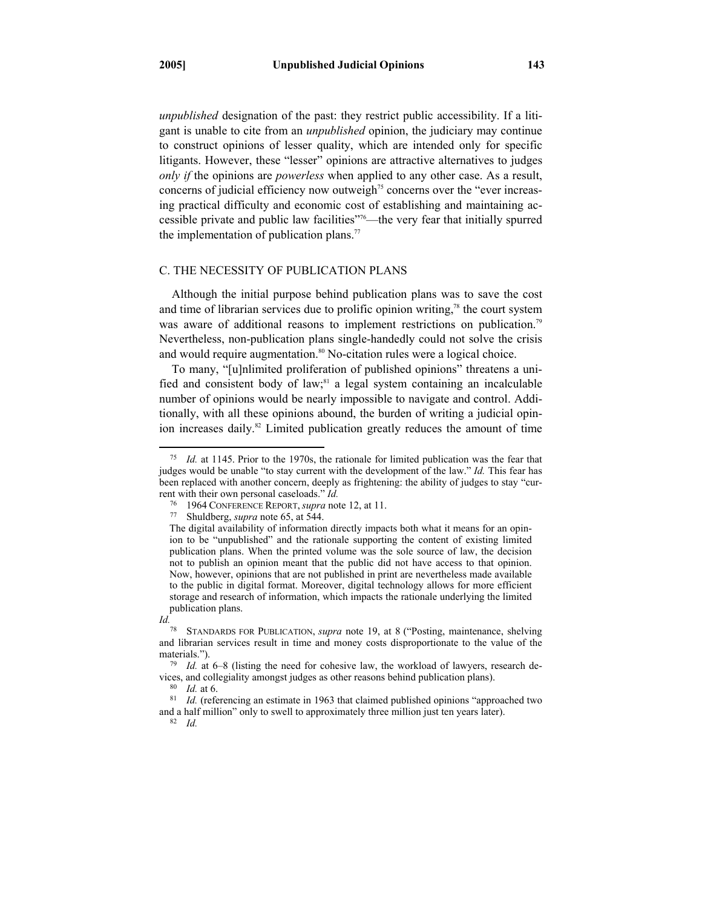*unpublished* designation of the past: they restrict public accessibility. If a litigant is unable to cite from an *unpublished* opinion, the judiciary may continue to construct opinions of lesser quality, which are intended only for specific litigants. However, these "lesser" opinions are attractive alternatives to judges *only if* the opinions are *powerless* when applied to any other case. As a result, concerns of judicial efficiency now outweigh<sup> $75$ </sup> concerns over the "ever increasing practical difficulty and economic cost of establishing and maintaining accessible private and public law facilities"76—the very fear that initially spurred the implementation of publication plans.<sup>77</sup>

## C. THE NECESSITY OF PUBLICATION PLANS

Although the initial purpose behind publication plans was to save the cost and time of librarian services due to prolific opinion writing, $78$  the court system was aware of additional reasons to implement restrictions on publication.<sup>79</sup> Nevertheless, non-publication plans single-handedly could not solve the crisis and would require augmentation.<sup>80</sup> No-citation rules were a logical choice.

To many, "[u]nlimited proliferation of published opinions" threatens a unified and consistent body of law; $s<sup>s1</sup>$  a legal system containing an incalculable number of opinions would be nearly impossible to navigate and control. Additionally, with all these opinions abound, the burden of writing a judicial opinion increases daily.<sup>82</sup> Limited publication greatly reduces the amount of time

 <sup>75</sup> *Id.* at 1145. Prior to the 1970s, the rationale for limited publication was the fear that judges would be unable "to stay current with the development of the law." *Id.* This fear has been replaced with another concern, deeply as frightening: the ability of judges to stay "current with their own personal caseloads." *Id.* 

<sup>76 1964</sup> CONFERENCE REPORT, *supra* note 12, at 11. 77 Shuldberg, *supra* note 65, at 544.

The digital availability of information directly impacts both what it means for an opinion to be "unpublished" and the rationale supporting the content of existing limited publication plans. When the printed volume was the sole source of law, the decision not to publish an opinion meant that the public did not have access to that opinion. Now, however, opinions that are not published in print are nevertheless made available to the public in digital format. Moreover, digital technology allows for more efficient storage and research of information, which impacts the rationale underlying the limited publication plans.

*Id.* 

<sup>78</sup> STANDARDS FOR PUBLICATION, *supra* note 19, at 8 ("Posting, maintenance, shelving and librarian services result in time and money costs disproportionate to the value of the materials.").

<sup>79</sup> *Id.* at 6–8 (listing the need for cohesive law, the workload of lawyers, research devices, and collegiality amongst judges as other reasons behind publication plans).<br><sup>80</sup> *Id.* at 6.<br><sup>81</sup> *Id.* (referencing an estimate in 1963 that claimed published opinions "approached two

and a half million" only to swell to approximately three million just ten years later). 82 *Id.*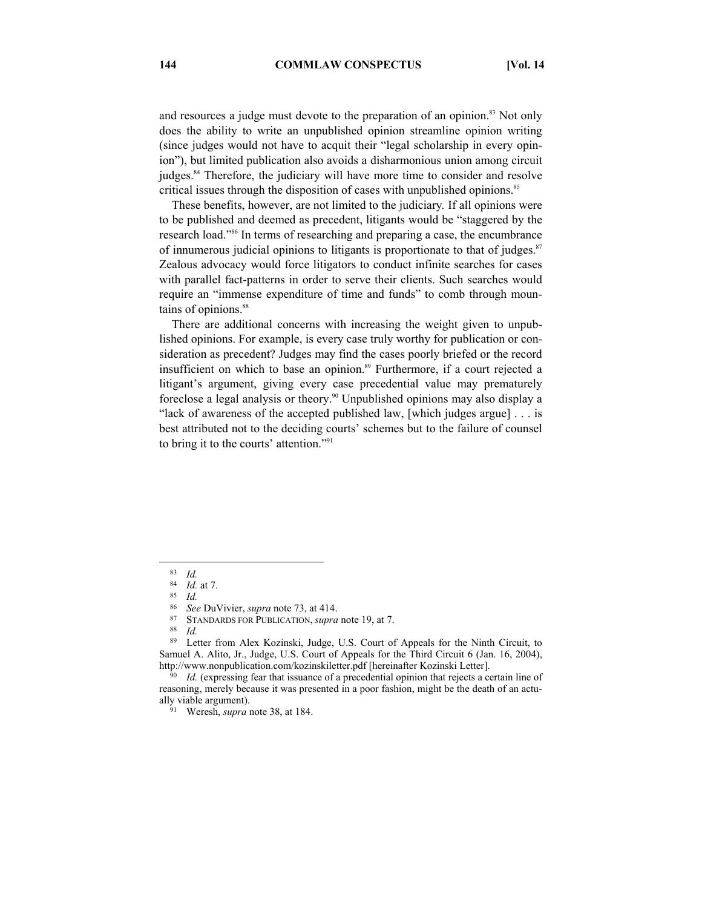and resources a judge must devote to the preparation of an opinion.<sup>83</sup> Not only does the ability to write an unpublished opinion streamline opinion writing (since judges would not have to acquit their "legal scholarship in every opinion"), but limited publication also avoids a disharmonious union among circuit judges.<sup>84</sup> Therefore, the judiciary will have more time to consider and resolve critical issues through the disposition of cases with unpublished opinions.<sup>85</sup>

These benefits, however, are not limited to the judiciary*.* If all opinions were to be published and deemed as precedent, litigants would be "staggered by the research load."86 In terms of researching and preparing a case, the encumbrance of innumerous judicial opinions to litigants is proportionate to that of judges.<sup>87</sup> Zealous advocacy would force litigators to conduct infinite searches for cases with parallel fact-patterns in order to serve their clients. Such searches would require an "immense expenditure of time and funds" to comb through mountains of opinions.<sup>88</sup>

There are additional concerns with increasing the weight given to unpublished opinions. For example, is every case truly worthy for publication or consideration as precedent? Judges may find the cases poorly briefed or the record insufficient on which to base an opinion.<sup>89</sup> Furthermore, if a court rejected a litigant's argument, giving every case precedential value may prematurely foreclose a legal analysis or theory.<sup>90</sup> Unpublished opinions may also display a "lack of awareness of the accepted published law, [which judges argue] . . . is best attributed not to the deciding courts' schemes but to the failure of counsel to bring it to the courts' attention."91

86 *See* DuVivier, *supra* note 73, at 414.<br><sup>87</sup> STANDARDS FOR PUBLICATION, *supra* note 19, at 7.<br><sup>88</sup> Letter from Alex Kozinski, Judge JJS. Court of

 <sup>83</sup> *Id.* 

<sup>84</sup> *Id.* at 7. 85 *Id.* 

Letter from Alex Kozinski, Judge, U.S. Court of Appeals for the Ninth Circuit, to Samuel A. Alito, Jr., Judge, U.S. Court of Appeals for the Third Circuit 6 (Jan. 16, 2004), http://www.nonpublication.com/kozinskiletter.pdf [hereinafter Kozinski Letter].<br><sup>90</sup> *Id.* (expressing fear that issuance of a precedential opinion that rejects a certain line of

reasoning, merely because it was presented in a poor fashion, might be the death of an actually viable argument).

<sup>&</sup>lt;sup>91</sup> Weresh, *supra* note 38, at 184.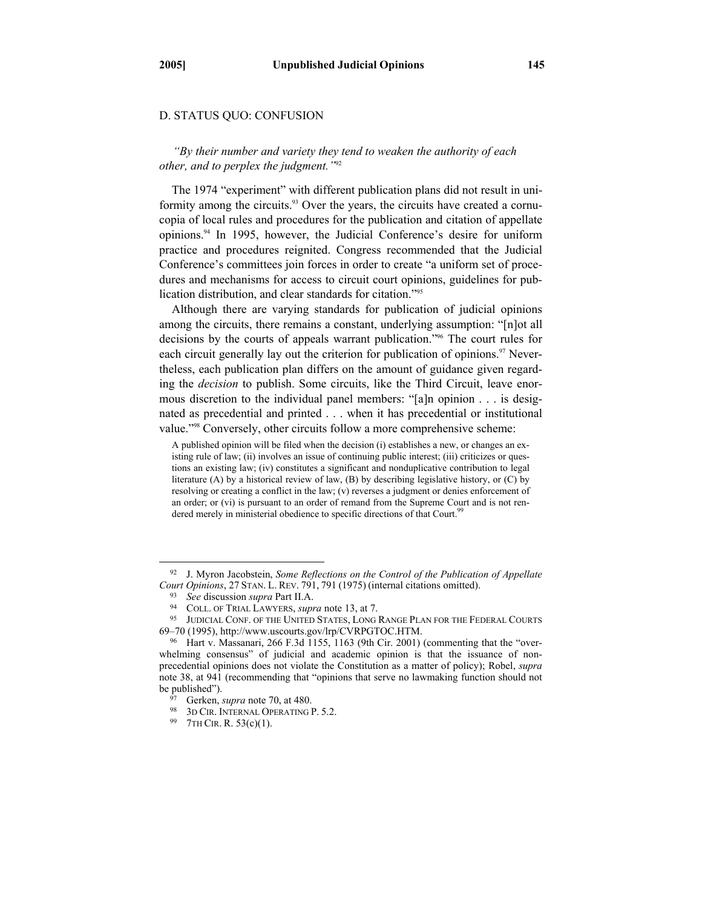## D. STATUS QUO: CONFUSION

*"By their number and variety they tend to weaken the authority of each other, and to perplex the judgment."*<sup>92</sup>

The 1974 "experiment" with different publication plans did not result in uniformity among the circuits.<sup>93</sup> Over the years, the circuits have created a cornucopia of local rules and procedures for the publication and citation of appellate opinions.94 In 1995, however, the Judicial Conference's desire for uniform practice and procedures reignited. Congress recommended that the Judicial Conference's committees join forces in order to create "a uniform set of procedures and mechanisms for access to circuit court opinions, guidelines for publication distribution, and clear standards for citation."95

Although there are varying standards for publication of judicial opinions among the circuits, there remains a constant, underlying assumption: "[n]ot all decisions by the courts of appeals warrant publication."96 The court rules for each circuit generally lay out the criterion for publication of opinions.<sup>97</sup> Nevertheless, each publication plan differs on the amount of guidance given regarding the *decision* to publish. Some circuits, like the Third Circuit, leave enormous discretion to the individual panel members: "[a]n opinion . . . is designated as precedential and printed . . . when it has precedential or institutional value."98 Conversely, other circuits follow a more comprehensive scheme:

A published opinion will be filed when the decision (i) establishes a new, or changes an existing rule of law; (ii) involves an issue of continuing public interest; (iii) criticizes or questions an existing law; (iv) constitutes a significant and nonduplicative contribution to legal literature (A) by a historical review of law, (B) by describing legislative history, or (C) by resolving or creating a conflict in the law; (v) reverses a judgment or denies enforcement of an order; or (vi) is pursuant to an order of remand from the Supreme Court and is not rendered merely in ministerial obedience to specific directions of that Court.<sup>99</sup>

 <sup>92</sup> J. Myron Jacobstein, *Some Reflections on the Control of the Publication of Appellate*  Court Opinions, 27 STAN. L. REV. 791, 791 (1975) (internal citations omitted).<br><sup>93</sup> See discussion *supra* Part II.A.<br><sup>94</sup> COLL. OF TRIAL LAWYERS, *supra* note 13, at 7.<br><sup>95</sup> JUDICIAL CONF. OF THE UNITED STATES, LONG RANGE

<sup>69–70 (1995),</sup> http://www.uscourts.gov/lrp/CVRPGTOC.HTM. 96 Hart v. Massanari, 266 F.3d 1155, 1163 (9th Cir. 2001) (commenting that the "over-

whelming consensus" of judicial and academic opinion is that the issuance of nonprecedential opinions does not violate the Constitution as a matter of policy); Robel, *supra*  note 38, at 941 (recommending that "opinions that serve no lawmaking function should not be published").<br><sup>97</sup> Gerken, *supra* note 70, at 480.<br><sup>98</sup> 3D CIR. INTERNAL OPERATING P. 5.2.<br><sup>99</sup> 7TH CIR. R. 53(c)(1).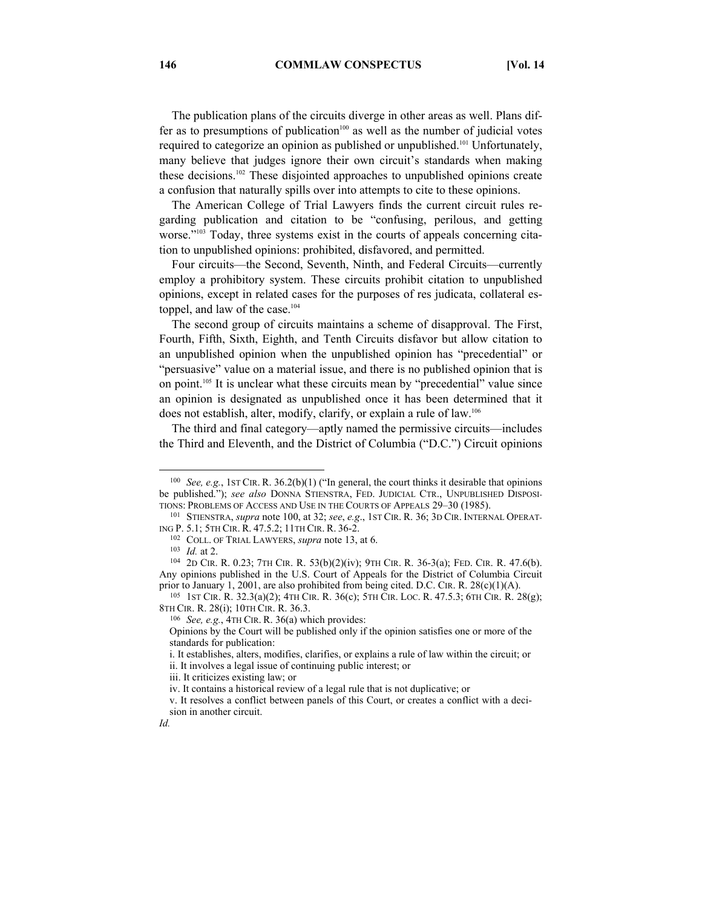The publication plans of the circuits diverge in other areas as well. Plans differ as to presumptions of publication<sup>100</sup> as well as the number of judicial votes required to categorize an opinion as published or unpublished.<sup>101</sup> Unfortunately, many believe that judges ignore their own circuit's standards when making these decisions.<sup>102</sup> These disjointed approaches to unpublished opinions create a confusion that naturally spills over into attempts to cite to these opinions.

The American College of Trial Lawyers finds the current circuit rules regarding publication and citation to be "confusing, perilous, and getting worse."<sup>103</sup> Today, three systems exist in the courts of appeals concerning citation to unpublished opinions: prohibited, disfavored, and permitted.

Four circuits—the Second, Seventh, Ninth, and Federal Circuits—currently employ a prohibitory system. These circuits prohibit citation to unpublished opinions, except in related cases for the purposes of res judicata, collateral estoppel, and law of the case.<sup>104</sup>

The second group of circuits maintains a scheme of disapproval. The First, Fourth, Fifth, Sixth, Eighth, and Tenth Circuits disfavor but allow citation to an unpublished opinion when the unpublished opinion has "precedential" or "persuasive" value on a material issue, and there is no published opinion that is on point.105 It is unclear what these circuits mean by "precedential" value since an opinion is designated as unpublished once it has been determined that it does not establish, alter, modify, clarify, or explain a rule of law.106

The third and final category—aptly named the permissive circuits—includes the Third and Eleventh, and the District of Columbia ("D.C.") Circuit opinions

 <sup>100</sup> *See, e.g.*, 1ST CIR. R. 36.2(b)(1) ("In general, the court thinks it desirable that opinions be published."); *see also* DONNA STIENSTRA, FED. JUDICIAL CTR., UNPUBLISHED DISPOSI-

TIONS: PROBLEMS OF ACCESS AND USE IN THE COURTS OF APPEALS 29–30 (1985). 101 STIENSTRA, *supra* note 100, at 32; *see*, *e.g*., 1ST CIR. R. 36; 3D CIR. INTERNAL OPERAT-ING P. 5.1; 5TH CIR. R. 47.5.2; 11TH CIR. R. 36-2.<br><sup>102</sup> COLL. OF TRIAL LAWYERS, *supra* note 13, at 6.<br><sup>103</sup> *Id.* at 2. <sup>104</sup> 2D CIR. R. 0.23; 7TH CIR. R. 53(b)(2)(iv); 9TH CIR. R. 36-3(a); FED. CIR. R. 47.6(b).

Any opinions published in the U.S. Court of Appeals for the District of Columbia Circuit prior to January 1, 2001, are also prohibited from being cited. D.C. CIR. R. 28(c)(1)(A). <sup>105</sup> 1ST CIR. R. 32.3(a)(2); 4TH CIR. R. 36(c); 5TH CIR. LOC. R. 47.5.3; 6TH CIR. R. 28(g);

<sup>8</sup>TH CIR. R. 28(i); 10TH CIR. R. 36.3. 106 *See, e.g.*, 4TH CIR. R. 36(a) which provides:

Opinions by the Court will be published only if the opinion satisfies one or more of the standards for publication:

i. It establishes, alters, modifies, clarifies, or explains a rule of law within the circuit; or ii. It involves a legal issue of continuing public interest; or

iii. It criticizes existing law; or

iv. It contains a historical review of a legal rule that is not duplicative; or

v. It resolves a conflict between panels of this Court, or creates a conflict with a decision in another circuit.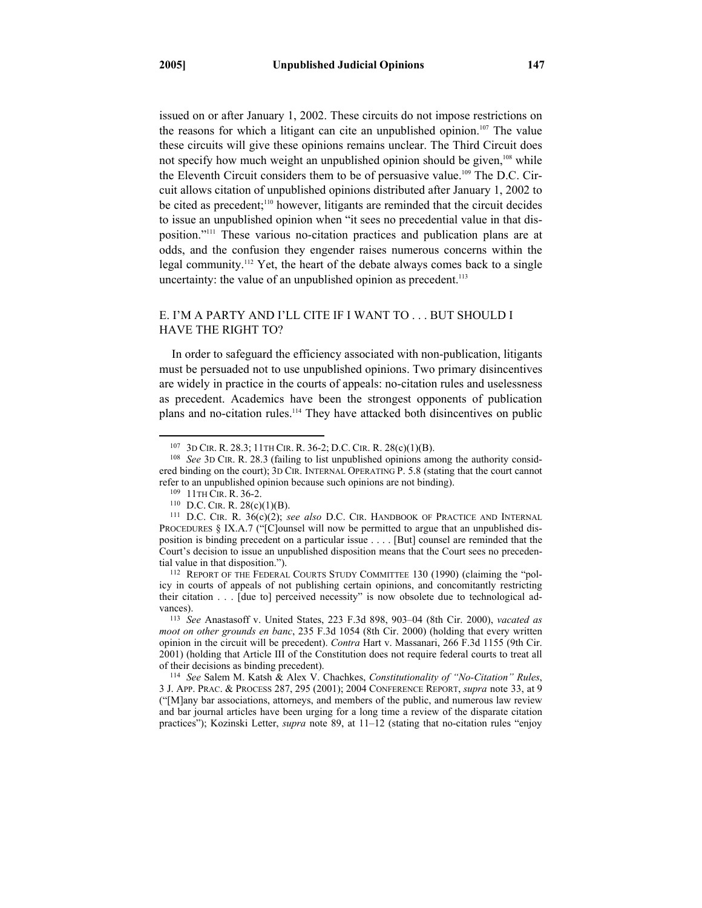issued on or after January 1, 2002. These circuits do not impose restrictions on the reasons for which a litigant can cite an unpublished opinion.<sup>107</sup> The value these circuits will give these opinions remains unclear. The Third Circuit does not specify how much weight an unpublished opinion should be given,<sup>108</sup> while the Eleventh Circuit considers them to be of persuasive value.<sup>109</sup> The D.C. Circuit allows citation of unpublished opinions distributed after January 1, 2002 to be cited as precedent;<sup>110</sup> however, litigants are reminded that the circuit decides to issue an unpublished opinion when "it sees no precedential value in that disposition."111 These various no-citation practices and publication plans are at odds, and the confusion they engender raises numerous concerns within the legal community.<sup>112</sup> Yet, the heart of the debate always comes back to a single uncertainty: the value of an unpublished opinion as precedent.<sup>113</sup>

# E. I'M A PARTY AND I'LL CITE IF I WANT TO . . . BUT SHOULD I HAVE THE RIGHT TO?

In order to safeguard the efficiency associated with non-publication, litigants must be persuaded not to use unpublished opinions. Two primary disincentives are widely in practice in the courts of appeals: no-citation rules and uselessness as precedent. Academics have been the strongest opponents of publication plans and no-citation rules.114 They have attacked both disincentives on public

*moot on other grounds en banc*, 235 F.3d 1054 (8th Cir. 2000) (holding that every written opinion in the circuit will be precedent). *Contra* Hart v. Massanari, 266 F.3d 1155 (9th Cir. 2001) (holding that Article III of the Constitution does not require federal courts to treat all of their decisions as binding precedent). 114 *See* Salem M. Katsh & Alex V. Chachkes, *Constitutionality of "No-Citation" Rules*,

3 J. APP. PRAC. & PROCESS 287, 295 (2001); 2004 CONFERENCE REPORT, *supra* note 33, at 9 ("[M]any bar associations, attorneys, and members of the public, and numerous law review and bar journal articles have been urging for a long time a review of the disparate citation practices"); Kozinski Letter, *supra* note 89, at 11–12 (stating that no-citation rules "enjoy

 <sup>107 3</sup>D CIR. R. 28.3; 11TH CIR. R. 36-2; D.C. CIR. R. 28(c)(1)(B). 108 *See* 3D CIR. R. 28.3 (failing to list unpublished opinions among the authority considered binding on the court); 3D CIR. INTERNAL OPERATING P. 5.8 (stating that the court cannot refer to an unpublished opinion because such opinions are not binding).

<sup>&</sup>lt;sup>109</sup> 11TH CIR. R. 36-2.<br><sup>110</sup> D.C. CIR. R. 28(c)(1)(B). *111* D.C. CIR. RANDBOOK OF PRACTICE AND INTERNAL PROCEDURES § IX.A.7 ("[C]ounsel will now be permitted to argue that an unpublished disposition is binding precedent on a particular issue . . . . [But] counsel are reminded that the Court's decision to issue an unpublished disposition means that the Court sees no preceden-

tial value in that disposition.").<br><sup>112</sup> REPORT OF THE FEDERAL COURTS STUDY COMMITTEE 130 (1990) (claiming the "policy in courts of appeals of not publishing certain opinions, and concomitantly restricting their citation . . . [due to] perceived necessity" is now obsolete due to technological advances). 113 *See* Anastasoff v. United States, 223 F.3d 898, 903–04 (8th Cir. 2000), *vacated as*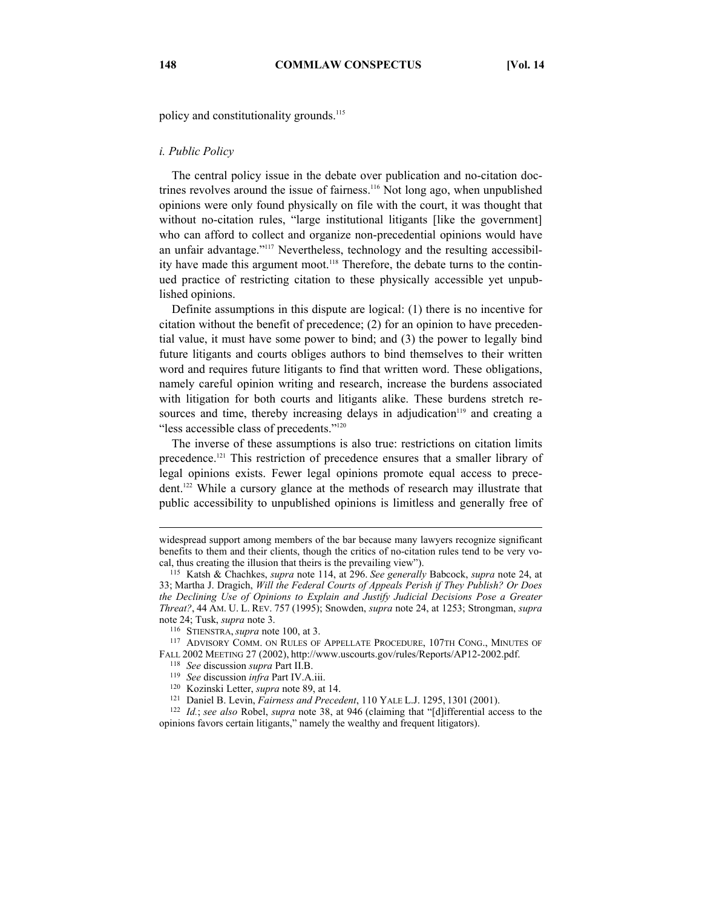policy and constitutionality grounds.<sup>115</sup>

#### *i. Public Policy*

The central policy issue in the debate over publication and no-citation doctrines revolves around the issue of fairness.116 Not long ago, when unpublished opinions were only found physically on file with the court, it was thought that without no-citation rules, "large institutional litigants [like the government] who can afford to collect and organize non-precedential opinions would have an unfair advantage."117 Nevertheless, technology and the resulting accessibility have made this argument moot.<sup>118</sup> Therefore, the debate turns to the continued practice of restricting citation to these physically accessible yet unpublished opinions.

Definite assumptions in this dispute are logical: (1) there is no incentive for citation without the benefit of precedence; (2) for an opinion to have precedential value, it must have some power to bind; and (3) the power to legally bind future litigants and courts obliges authors to bind themselves to their written word and requires future litigants to find that written word. These obligations, namely careful opinion writing and research, increase the burdens associated with litigation for both courts and litigants alike. These burdens stretch resources and time, thereby increasing delays in adjudication<sup>119</sup> and creating a "less accessible class of precedents."<sup>120</sup>

The inverse of these assumptions is also true: restrictions on citation limits precedence.121 This restriction of precedence ensures that a smaller library of legal opinions exists. Fewer legal opinions promote equal access to precedent.122 While a cursory glance at the methods of research may illustrate that public accessibility to unpublished opinions is limitless and generally free of

note 24; Tusk, *supra* note 3.<br><sup>116</sup> STIENSTRA, *supra* note 100, at 3.<br><sup>117</sup> ADVISORY COMM. ON RULES OF APPELLATE PROCEDURE, 107TH CONG., MINUTES OF<br>FALL 2002 MEETING 27 (2002), http://www.uscourts.gov/rules/Reports/AP12-

 $\overline{a}$ 

widespread support among members of the bar because many lawyers recognize significant benefits to them and their clients, though the critics of no-citation rules tend to be very vocal, thus creating the illusion that theirs is the prevailing view"). 115 Katsh & Chachkes, *supra* note 114, at 296. *See generally* Babcock, *supra* note 24, at

<sup>33;</sup> Martha J. Dragich, *Will the Federal Courts of Appeals Perish if They Publish? Or Does the Declining Use of Opinions to Explain and Justify Judicial Decisions Pose a Greater Threat?*, 44 AM. U. L. REV. 757 (1995); Snowden, *supra* note 24, at 1253; Strongman, *supra* 

<sup>&</sup>lt;sup>118</sup> See discussion *supra* Part II.B.<br>
<sup>119</sup> See discussion *infra* Part IV.A.iii.<br>
<sup>120</sup> Kozinski Letter, *supra* note 89, at 14.<br>
<sup>121</sup> Daniel B. Levin, *Fairness and Precedent*, 110 YALE L.J. 1295, 1301 (2001).<br>
<sup>122</sup> opinions favors certain litigants," namely the wealthy and frequent litigators).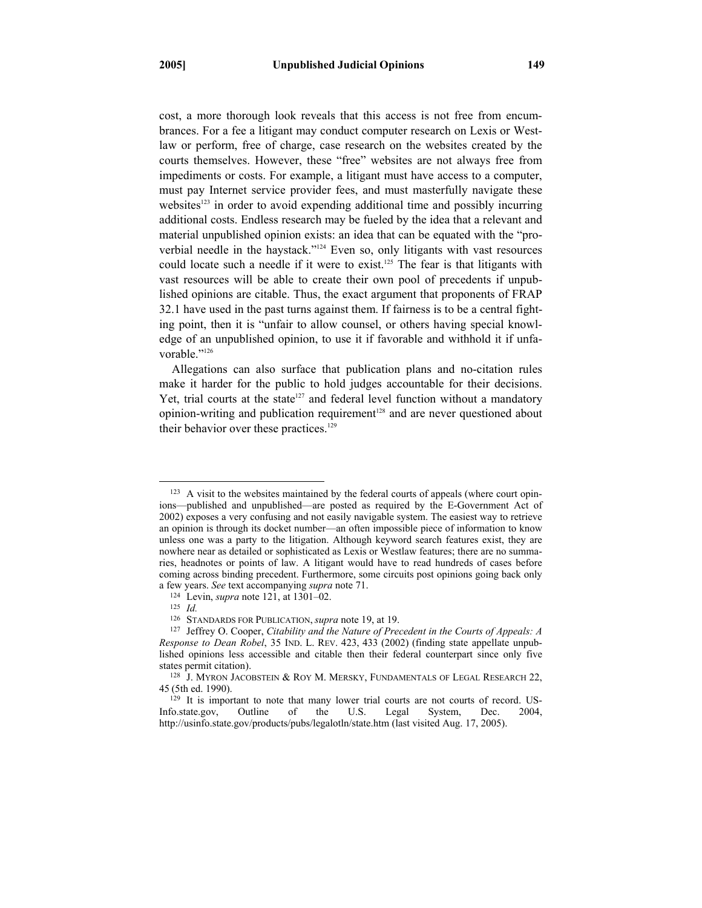cost, a more thorough look reveals that this access is not free from encumbrances. For a fee a litigant may conduct computer research on Lexis or Westlaw or perform, free of charge, case research on the websites created by the courts themselves. However, these "free" websites are not always free from impediments or costs. For example, a litigant must have access to a computer, must pay Internet service provider fees, and must masterfully navigate these websites<sup>123</sup> in order to avoid expending additional time and possibly incurring additional costs. Endless research may be fueled by the idea that a relevant and material unpublished opinion exists: an idea that can be equated with the "proverbial needle in the haystack."124 Even so, only litigants with vast resources could locate such a needle if it were to exist.<sup>125</sup> The fear is that litigants with vast resources will be able to create their own pool of precedents if unpublished opinions are citable. Thus, the exact argument that proponents of FRAP 32.1 have used in the past turns against them. If fairness is to be a central fighting point, then it is "unfair to allow counsel, or others having special knowledge of an unpublished opinion, to use it if favorable and withhold it if unfavorable."<sup>126</sup>

Allegations can also surface that publication plans and no-citation rules make it harder for the public to hold judges accountable for their decisions. Yet, trial courts at the state<sup>127</sup> and federal level function without a mandatory opinion-writing and publication requirement<sup>128</sup> and are never questioned about their behavior over these practices.<sup>129</sup>

<sup>&</sup>lt;sup>123</sup> A visit to the websites maintained by the federal courts of appeals (where court opinions—published and unpublished—are posted as required by the E-Government Act of 2002) exposes a very confusing and not easily navigable system. The easiest way to retrieve an opinion is through its docket number—an often impossible piece of information to know unless one was a party to the litigation. Although keyword search features exist, they are nowhere near as detailed or sophisticated as Lexis or Westlaw features; there are no summaries, headnotes or points of law. A litigant would have to read hundreds of cases before coming across binding precedent. Furthermore, some circuits post opinions going back only a few years. *See* text accompanying *supra* note 71.<br><sup>124</sup> Levin, *supra* note 121, at 1301–02.<br><sup>126</sup> STANDARDS FOR PUBLICATION, *supra* note 19, at 19.

<sup>&</sup>lt;sup>127</sup> Jeffrey O. Cooper, *Citability and the Nature of Precedent in the Courts of Appeals: A Response to Dean Robel*, 35 IND. L. REV. 423, 433 (2002) (finding state appellate unpublished opinions less accessible and citable then their federal counterpart since only five

states permit citation).<br><sup>128</sup> J. MYRON JACOBSTEIN & ROY M. MERSKY, FUNDAMENTALS OF LEGAL RESEARCH 22, 45 (5th ed. 1990).

<sup>&</sup>lt;sup>129</sup> It is important to note that many lower trial courts are not courts of record. US-Info.state.gov, Outline of the U.S. Legal System, Dec. 2004, http://usinfo.state.gov/products/pubs/legalotln/state.htm (last visited Aug. 17, 2005).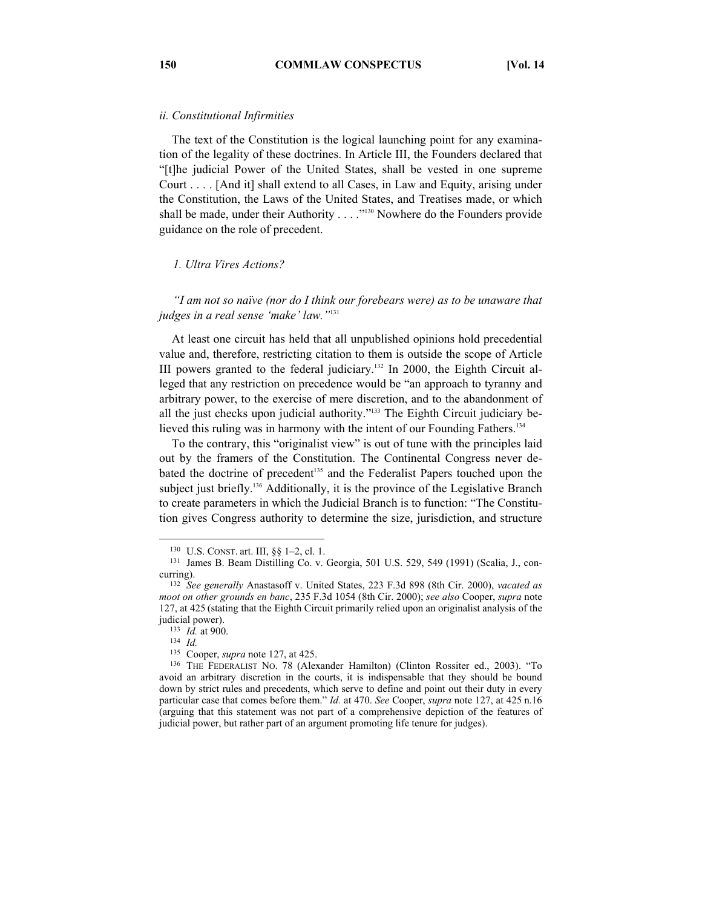## *ii. Constitutional Infirmities*

The text of the Constitution is the logical launching point for any examination of the legality of these doctrines. In Article III, the Founders declared that "[t]he judicial Power of the United States, shall be vested in one supreme Court . . . . [And it] shall extend to all Cases, in Law and Equity, arising under the Constitution, the Laws of the United States, and Treatises made, or which shall be made, under their Authority . . . . "<sup>130</sup> Nowhere do the Founders provide guidance on the role of precedent.

## *1. Ultra Vires Actions?*

*"I am not so naïve (nor do I think our forebears were) as to be unaware that judges in a real sense 'make' law."*<sup>131</sup>

At least one circuit has held that all unpublished opinions hold precedential value and, therefore, restricting citation to them is outside the scope of Article III powers granted to the federal judiciary.132 In 2000, the Eighth Circuit alleged that any restriction on precedence would be "an approach to tyranny and arbitrary power, to the exercise of mere discretion, and to the abandonment of all the just checks upon judicial authority."133 The Eighth Circuit judiciary believed this ruling was in harmony with the intent of our Founding Fathers.<sup>134</sup>

To the contrary, this "originalist view" is out of tune with the principles laid out by the framers of the Constitution. The Continental Congress never debated the doctrine of precedent<sup>135</sup> and the Federalist Papers touched upon the subject just briefly.<sup>136</sup> Additionally, it is the province of the Legislative Branch to create parameters in which the Judicial Branch is to function: "The Constitution gives Congress authority to determine the size, jurisdiction, and structure

<sup>&</sup>lt;sup>130</sup> U.S. CONST. art. III,  $\S$ § 1–2, cl. 1.<br><sup>131</sup> James B. Beam Distilling Co. v. Georgia, 501 U.S. 529, 549 (1991) (Scalia, J., con-

curring). 132 *See generally* Anastasoff v. United States, 223 F.3d 898 (8th Cir. 2000), *vacated as moot on other grounds en banc*, 235 F.3d 1054 (8th Cir. 2000); *see also* Cooper, *supra* note 127, at 425 (stating that the Eighth Circuit primarily relied upon an originalist analysis of the

<sup>133</sup> *Id.* at 900.<br>
134 *Id. Cooper, supra* note 127, at 425.

<sup>&</sup>lt;sup>136</sup> THE FEDERALIST NO. 78 (Alexander Hamilton) (Clinton Rossiter ed., 2003). "To avoid an arbitrary discretion in the courts, it is indispensable that they should be bound down by strict rules and precedents, which serve to define and point out their duty in every particular case that comes before them." *Id.* at 470. *See* Cooper, *supra* note 127, at 425 n.16 (arguing that this statement was not part of a comprehensive depiction of the features of judicial power, but rather part of an argument promoting life tenure for judges).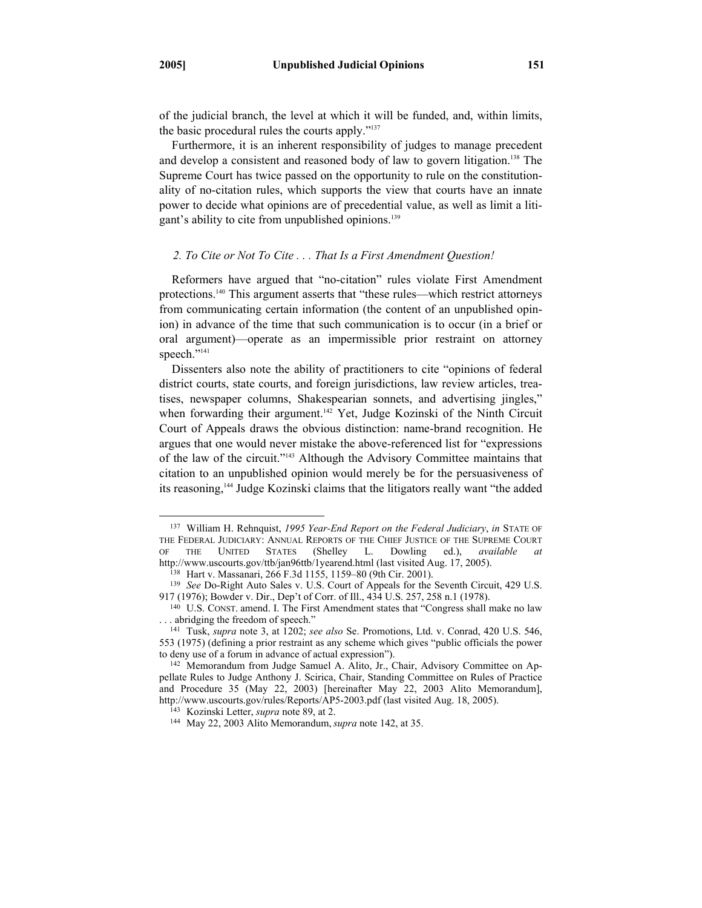of the judicial branch, the level at which it will be funded, and, within limits, the basic procedural rules the courts apply."137

Furthermore, it is an inherent responsibility of judges to manage precedent and develop a consistent and reasoned body of law to govern litigation.<sup>138</sup> The Supreme Court has twice passed on the opportunity to rule on the constitutionality of no-citation rules, which supports the view that courts have an innate power to decide what opinions are of precedential value, as well as limit a litigant's ability to cite from unpublished opinions.<sup>139</sup>

## *2. To Cite or Not To Cite . . . That Is a First Amendment Question!*

Reformers have argued that "no-citation" rules violate First Amendment protections.140 This argument asserts that "these rules—which restrict attorneys from communicating certain information (the content of an unpublished opinion) in advance of the time that such communication is to occur (in a brief or oral argument)—operate as an impermissible prior restraint on attorney speech."<sup>141</sup>

Dissenters also note the ability of practitioners to cite "opinions of federal district courts, state courts, and foreign jurisdictions, law review articles, treatises, newspaper columns, Shakespearian sonnets, and advertising jingles," when forwarding their argument.<sup>142</sup> Yet, Judge Kozinski of the Ninth Circuit Court of Appeals draws the obvious distinction: name-brand recognition. He argues that one would never mistake the above-referenced list for "expressions of the law of the circuit."143 Although the Advisory Committee maintains that citation to an unpublished opinion would merely be for the persuasiveness of its reasoning,144 Judge Kozinski claims that the litigators really want "the added

 <sup>137</sup> William H. Rehnquist, *<sup>1995</sup> Year-End Report on the Federal Judiciary*, *in* STATE OF THE FEDERAL JUDICIARY: ANNUAL REPORTS OF THE CHIEF JUSTICE OF THE SUPREME COURT OF THE UNITED STATES (Shelley L. Dowling ed.), *available at* OF THE UNITED STATES (Shelley L. Dowling ed.), *available at* 

<sup>&</sup>lt;sup>138</sup> Hart v. Massanari, 266 F.3d 1155, 1159–80 (9th Cir. 2001).<br><sup>139</sup> *See* Do-Right Auto Sales v. U.S. Court of Appeals for the Seventh Circuit, 429 U.S.<br>917 (1976); Bowder v. Dir., Dep't of Corr. of Ill., 434 U.S. 257,

<sup>&</sup>lt;sup>140</sup> U.S. CONST. amend. I. The First Amendment states that "Congress shall make no law ... abridging the freedom of speech."

<sup>&</sup>lt;sup>141</sup> Tusk, *supra* note 3, at 1202; *see also* Se. Promotions, Ltd. v. Conrad, 420 U.S. 546, 553 (1975) (defining a prior restraint as any scheme which gives "public officials the power

<sup>&</sup>lt;sup>142</sup> Memorandum from Judge Samuel A. Alito, Jr., Chair, Advisory Committee on Appellate Rules to Judge Anthony J. Scirica, Chair, Standing Committee on Rules of Practice and Procedure 35 (May 22, 2003) [hereinafter May 22, 2003 Alito Memorandum], http://www.uscourts.gov/rules/Reports/AP5-2003.pdf (last visited Aug. 18, 2005). 143 Kozinski Letter, *supra* note 89, at 2. 144 May 22, 2003 Alito Memorandum,*supra* note 142, at 35.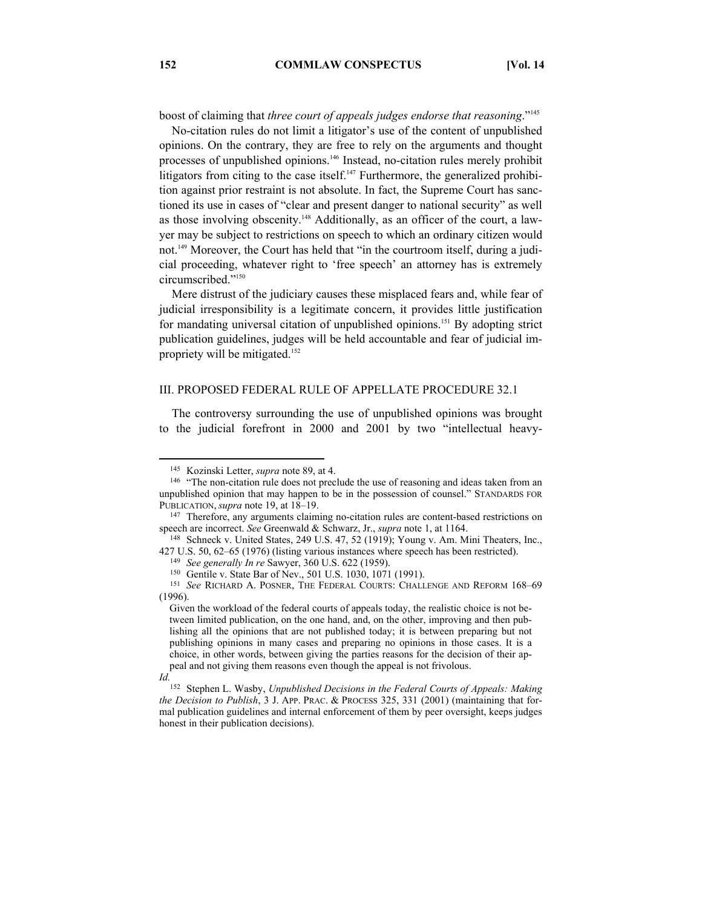boost of claiming that *three court of appeals judges endorse that reasoning*."145

No-citation rules do not limit a litigator's use of the content of unpublished opinions. On the contrary, they are free to rely on the arguments and thought processes of unpublished opinions.146 Instead, no-citation rules merely prohibit litigators from citing to the case itself. $147$  Furthermore, the generalized prohibition against prior restraint is not absolute. In fact, the Supreme Court has sanctioned its use in cases of "clear and present danger to national security" as well as those involving obscenity.<sup>148</sup> Additionally, as an officer of the court, a lawyer may be subject to restrictions on speech to which an ordinary citizen would not.149 Moreover, the Court has held that "in the courtroom itself, during a judicial proceeding, whatever right to 'free speech' an attorney has is extremely circumscribed."150

Mere distrust of the judiciary causes these misplaced fears and, while fear of judicial irresponsibility is a legitimate concern, it provides little justification for mandating universal citation of unpublished opinions.151 By adopting strict publication guidelines, judges will be held accountable and fear of judicial impropriety will be mitigated.<sup>152</sup>

## III. PROPOSED FEDERAL RULE OF APPELLATE PROCEDURE 32.1

The controversy surrounding the use of unpublished opinions was brought to the judicial forefront in 2000 and 2001 by two "intellectual heavy-

<sup>&</sup>lt;sup>145</sup> Kozinski Letter, *supra* note 89, at 4.<br><sup>146</sup> "The non-citation rule does not preclude the use of reasoning and ideas taken from an unpublished opinion that may happen to be in the possession of counsel." STANDARDS FOR PUBLICATION, *supra* note 19, at 18–19.<br><sup>147</sup> Therefore, any arguments claiming no-citation rules are content-based restrictions on

speech are incorrect. *See* Greenwald & Schwarz, Jr., *supra* note 1, at 1164.<br><sup>148</sup> Schneck v. United States, 249 U.S. 47, 52 (1919); Young v. Am. Mini Theaters, Inc.,

<sup>427</sup> U.S. 50, 62–65 (1976) (listing various instances where speech has been restricted).<br><sup>149</sup> See generally In re Sawyer, 360 U.S. 622 (1959).<br><sup>150</sup> Gentile v. State Bar of Nev., 501 U.S. 1030, 1071 (1991).<br><sup>151</sup> See RICH

 $(1996)$ 

Given the workload of the federal courts of appeals today, the realistic choice is not between limited publication, on the one hand, and, on the other, improving and then publishing all the opinions that are not published today; it is between preparing but not publishing opinions in many cases and preparing no opinions in those cases. It is a choice, in other words, between giving the parties reasons for the decision of their appeal and not giving them reasons even though the appeal is not frivolous.

*Id.* 

<sup>152</sup> Stephen L. Wasby, *Unpublished Decisions in the Federal Courts of Appeals: Making the Decision to Publish*, 3 J. APP. PRAC. & PROCESS 325, 331 (2001) (maintaining that formal publication guidelines and internal enforcement of them by peer oversight, keeps judges honest in their publication decisions).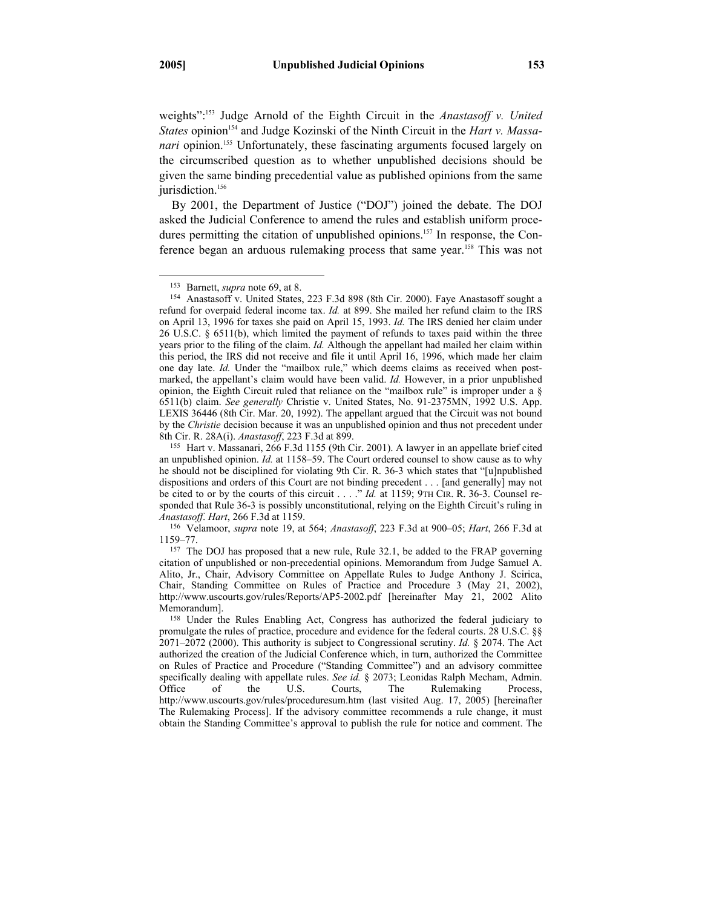weights":153 Judge Arnold of the Eighth Circuit in the *Anastasoff v. United*  States opinion<sup>154</sup> and Judge Kozinski of the Ninth Circuit in the *Hart v. Massanari* opinion.<sup>155</sup> Unfortunately, these fascinating arguments focused largely on the circumscribed question as to whether unpublished decisions should be given the same binding precedential value as published opinions from the same jurisdiction.<sup>156</sup>

By 2001, the Department of Justice ("DOJ") joined the debate. The DOJ asked the Judicial Conference to amend the rules and establish uniform procedures permitting the citation of unpublished opinions.<sup>157</sup> In response, the Conference began an arduous rulemaking process that same year.158 This was not

<sup>&</sup>lt;sup>153</sup> Barnett, *supra* note 69, at 8.<br><sup>154</sup> Anastasoff v. United States, 223 F.3d 898 (8th Cir. 2000). Faye Anastasoff sought a refund for overpaid federal income tax. *Id.* at 899. She mailed her refund claim to the IRS on April 13, 1996 for taxes she paid on April 15, 1993. *Id.* The IRS denied her claim under 26 U.S.C. § 6511(b), which limited the payment of refunds to taxes paid within the three years prior to the filing of the claim. *Id.* Although the appellant had mailed her claim within this period, the IRS did not receive and file it until April 16, 1996, which made her claim one day late. *Id.* Under the "mailbox rule," which deems claims as received when postmarked, the appellant's claim would have been valid. *Id.* However, in a prior unpublished opinion, the Eighth Circuit ruled that reliance on the "mailbox rule" is improper under a § 6511(b) claim. *See generally* Christie v. United States, No. 91-2375MN, 1992 U.S. App. LEXIS 36446 (8th Cir. Mar. 20, 1992). The appellant argued that the Circuit was not bound by the *Christie* decision because it was an unpublished opinion and thus not precedent under 8th Cir. R. 28A(i). *Anastasoff*, 223 F.3d at 899.<br><sup>155</sup> Hart v. Massanari, 266 F.3d 1155 (9th Cir. 2001). A lawyer in an appellate brief cited

an unpublished opinion. *Id.* at 1158–59. The Court ordered counsel to show cause as to why he should not be disciplined for violating 9th Cir. R. 36-3 which states that "[u]npublished dispositions and orders of this Court are not binding precedent . . . [and generally] may not be cited to or by the courts of this circuit . . . ." *Id.* at 1159; 9TH CIR. R. 36-3. Counsel responded that Rule 36-3 is possibly unconstitutional, relying on the Eighth Circuit's ruling in *Anastasoff*. *Hart*, 266 F.3d at 1159. 156 Velamoor, *supra* note 19, at 564; *Anastasoff*, 223 F.3d at 900–05; *Hart*, 266 F.3d at

<sup>1159–77. 157</sup> The DOJ has proposed that a new rule, Rule 32.1, be added to the FRAP governing

citation of unpublished or non-precedential opinions. Memorandum from Judge Samuel A. Alito, Jr., Chair, Advisory Committee on Appellate Rules to Judge Anthony J. Scirica, Chair, Standing Committee on Rules of Practice and Procedure 3 (May 21, 2002), http://www.uscourts.gov/rules/Reports/AP5-2002.pdf [hereinafter May 21, 2002 Alito Memorandum].<br><sup>158</sup> Under the Rules Enabling Act, Congress has authorized the federal judiciary to

promulgate the rules of practice, procedure and evidence for the federal courts. 28 U.S.C. §§ 2071–2072 (2000). This authority is subject to Congressional scrutiny. *Id.* § 2074. The Act authorized the creation of the Judicial Conference which, in turn, authorized the Committee on Rules of Practice and Procedure ("Standing Committee") and an advisory committee specifically dealing with appellate rules. *See id.* § 2073; Leonidas Ralph Mecham, Admin. Office of the U.S. Courts, The Rulemaking Process, http://www.uscourts.gov/rules/proceduresum.htm (last visited Aug. 17, 2005) [hereinafter The Rulemaking Process]. If the advisory committee recommends a rule change, it must obtain the Standing Committee's approval to publish the rule for notice and comment. The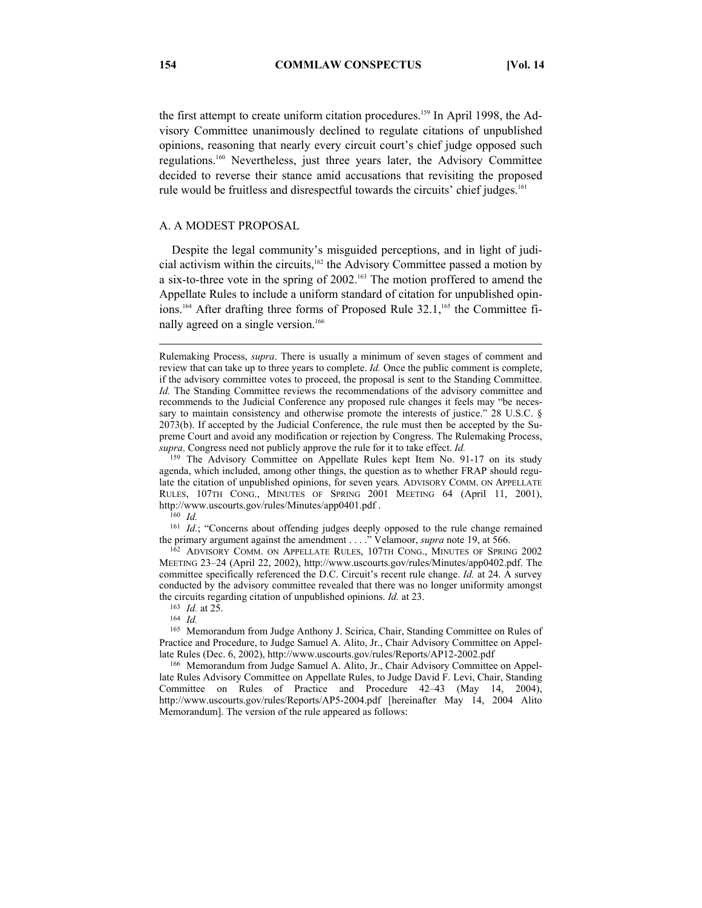the first attempt to create uniform citation procedures.<sup>159</sup> In April 1998, the Advisory Committee unanimously declined to regulate citations of unpublished opinions, reasoning that nearly every circuit court's chief judge opposed such regulations.160 Nevertheless, just three years later, the Advisory Committee decided to reverse their stance amid accusations that revisiting the proposed rule would be fruitless and disrespectful towards the circuits' chief judges.<sup>161</sup>

## A. A MODEST PROPOSAL

Despite the legal community's misguided perceptions, and in light of judicial activism within the circuits,<sup>162</sup> the Advisory Committee passed a motion by a six-to-three vote in the spring of 2002.163 The motion proffered to amend the Appellate Rules to include a uniform standard of citation for unpublished opinions.<sup>164</sup> After drafting three forms of Proposed Rule 32.1,<sup>165</sup> the Committee finally agreed on a single version.<sup>166</sup>

 $\overline{a}$ 

161 Id.; "Concerns about offending judges deeply opposed to the rule change remained the primary argument against the amendment . . . ." Velamoor, *supra* note 19, at 566.<br><sup>162</sup> ADVISORY COMM. ON APPELLATE RULES, 107TH CONG., MINUTES OF SPRING 2002

MEETING 23–24 (April 22, 2002), http://www.uscourts.gov/rules/Minutes/app0402.pdf. The committee specifically referenced the D.C. Circuit's recent rule change. *Id.* at 24. A survey conducted by the advisory committee revealed that there was no longer uniformity amongst the circuits regarding citation of unpublished opinions. *Id.* at 23. 164 *Id. Id. Id.* 

165 Memorandum from Judge Anthony J. Scirica, Chair, Standing Committee on Rules of Practice and Procedure, to Judge Samuel A. Alito, Jr., Chair Advisory Committee on Appellate Rules (Dec. 6, 2002), http://www.uscourts.gov/rules/Reports/AP12-2002.pdf

<sup>166</sup> Memorandum from Judge Samuel A. Alito, Jr., Chair Advisory Committee on Appellate Rules Advisory Committee on Appellate Rules, to Judge David F. Levi, Chair, Standing Committee on Rules of Practice and Procedure 42–43 (May 14, 2004), http://www.uscourts.gov/rules/Reports/AP5-2004.pdf [hereinafter May 14, 2004 Alito Memorandum]. The version of the rule appeared as follows:

Rulemaking Process, *supra*. There is usually a minimum of seven stages of comment and review that can take up to three years to complete. *Id.* Once the public comment is complete, if the advisory committee votes to proceed, the proposal is sent to the Standing Committee. *Id.* The Standing Committee reviews the recommendations of the advisory committee and recommends to the Judicial Conference any proposed rule changes it feels may "be necessary to maintain consistency and otherwise promote the interests of justice." 28 U.S.C. § 2073(b). If accepted by the Judicial Conference, the rule must then be accepted by the Supreme Court and avoid any modification or rejection by Congress. The Rulemaking Process, *supra*. Congress need not publicly approve the rule for it to take effect. *Id.* 

<sup>159</sup> The Advisory Committee on Appellate Rules kept Item No. 91-17 on its study agenda, which included, among other things, the question as to whether FRAP should regulate the citation of unpublished opinions, for seven years*.* ADVISORY COMM. ON APPELLATE RULES, 107TH CONG., MINUTES OF SPRING 2001 MEETING 64 (April 11, 2001), http://www.uscourts.gov/rules/Minutes/app0401.pdf . 160 *Id.*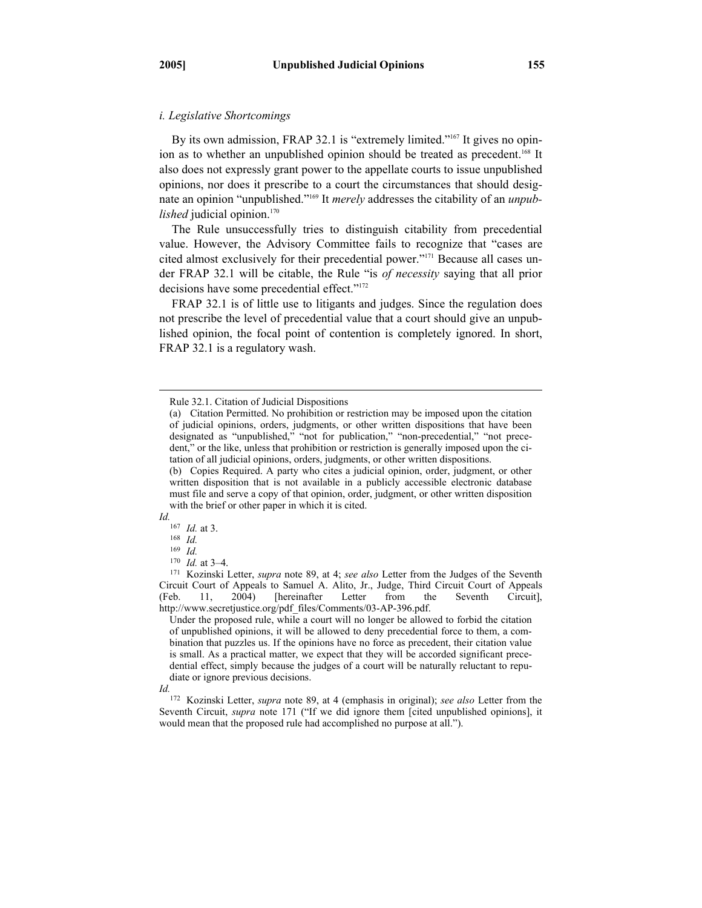#### *i. Legislative Shortcomings*

By its own admission, FRAP 32.1 is "extremely limited."<sup>167</sup> It gives no opinion as to whether an unpublished opinion should be treated as precedent.<sup>168</sup> It also does not expressly grant power to the appellate courts to issue unpublished opinions, nor does it prescribe to a court the circumstances that should designate an opinion "unpublished."169 It *merely* addresses the citability of an *unpublished* judicial opinion.<sup>170</sup>

The Rule unsuccessfully tries to distinguish citability from precedential value. However, the Advisory Committee fails to recognize that "cases are cited almost exclusively for their precedential power."171 Because all cases under FRAP 32.1 will be citable, the Rule "is *of necessity* saying that all prior decisions have some precedential effect."<sup>172</sup>

FRAP 32.1 is of little use to litigants and judges. Since the regulation does not prescribe the level of precedential value that a court should give an unpublished opinion, the focal point of contention is completely ignored. In short, FRAP 32.1 is a regulatory wash.

*Id.* 

 $\overline{a}$ 

Under the proposed rule, while a court will no longer be allowed to forbid the citation of unpublished opinions, it will be allowed to deny precedential force to them, a combination that puzzles us. If the opinions have no force as precedent, their citation value is small. As a practical matter, we expect that they will be accorded significant precedential effect, simply because the judges of a court will be naturally reluctant to repudiate or ignore previous decisions.

Rule 32.1. Citation of Judicial Dispositions

<sup>(</sup>a) Citation Permitted. No prohibition or restriction may be imposed upon the citation of judicial opinions, orders, judgments, or other written dispositions that have been designated as "unpublished," "not for publication," "non-precedential," "not precedent," or the like, unless that prohibition or restriction is generally imposed upon the citation of all judicial opinions, orders, judgments, or other written dispositions.

<sup>(</sup>b) Copies Required. A party who cites a judicial opinion, order, judgment, or other written disposition that is not available in a publicly accessible electronic database must file and serve a copy of that opinion, order, judgment, or other written disposition with the brief or other paper in which it is cited.

<sup>167</sup> *Id.* at 3. 168 *Id.* 

 $\frac{169}{170}$  *Id.* at 3–4.

<sup>&</sup>lt;sup>171</sup> Kozinski Letter, *supra* note 89, at 4; *see also* Letter from the Judges of the Seventh Circuit Court of Appeals to Samuel A. Alito, Jr., Judge, Third Circuit Court of Appeals (Feb. 11, 2004) [hereinafter Letter from the Seventh Circuit], http://www.secretjustice.org/pdf\_files/Comments/03-AP-396.pdf.

*Id.*

<sup>172</sup> Kozinski Letter, *supra* note 89, at 4 (emphasis in original); *see also* Letter from the Seventh Circuit, *supra* note 171 ("If we did ignore them [cited unpublished opinions], it would mean that the proposed rule had accomplished no purpose at all.").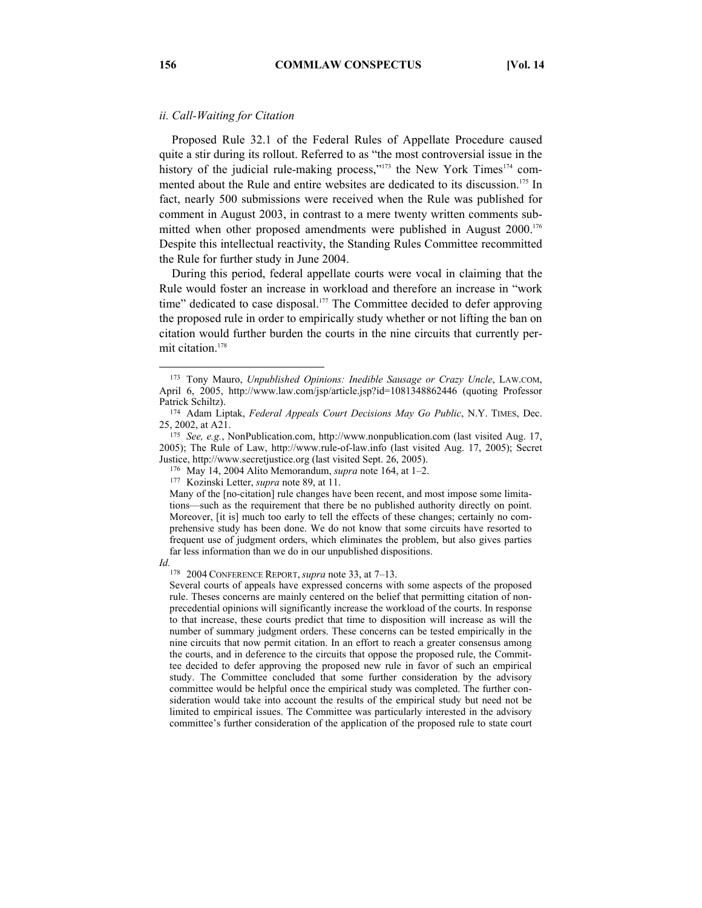## *ii. Call-Waiting for Citation*

Proposed Rule 32.1 of the Federal Rules of Appellate Procedure caused quite a stir during its rollout. Referred to as "the most controversial issue in the history of the judicial rule-making process,"<sup>173</sup> the New York Times<sup>174</sup> commented about the Rule and entire websites are dedicated to its discussion.<sup>175</sup> In fact, nearly 500 submissions were received when the Rule was published for comment in August 2003, in contrast to a mere twenty written comments submitted when other proposed amendments were published in August 2000.<sup>176</sup> Despite this intellectual reactivity, the Standing Rules Committee recommitted the Rule for further study in June 2004.

During this period, federal appellate courts were vocal in claiming that the Rule would foster an increase in workload and therefore an increase in "work time" dedicated to case disposal.<sup>177</sup> The Committee decided to defer approving the proposed rule in order to empirically study whether or not lifting the ban on citation would further burden the courts in the nine circuits that currently permit citation.178

*Id.*

178 2004 CONFERENCE REPORT, *supra* note 33, at 7–13.

 <sup>173</sup> Tony Mauro, *Unpublished Opinions: Inedible Sausage or Crazy Uncle*, LAW.COM, April 6, 2005, http://www.law.com/jsp/article.jsp?id=1081348862446 (quoting Professor

Patrick Schiltz).<br><sup>174</sup> Adam Liptak, *Federal Appeals Court Decisions May Go Public*, N.Y. TIMES, Dec.<br>25, 2002, at A21.

<sup>25, 2002,</sup> at A21. 175 *See, e.g.*, NonPublication.com, http://www.nonpublication.com (last visited Aug. 17, 2005); The Rule of Law, http://www.rule-of-law.info (last visited Aug. 17, 2005); Secret

Justice, http://www.secretjustice.org (last visited Sept. 26, 2005). 176 May 14, 2004 Alito Memorandum, *supra* note 164, at 1–2. 177 Kozinski Letter, *supra* note 89, at 11.

Many of the [no-citation] rule changes have been recent, and most impose some limitations—such as the requirement that there be no published authority directly on point. Moreover, [it is] much too early to tell the effects of these changes; certainly no comprehensive study has been done. We do not know that some circuits have resorted to frequent use of judgment orders, which eliminates the problem, but also gives parties far less information than we do in our unpublished dispositions.

Several courts of appeals have expressed concerns with some aspects of the proposed rule. Theses concerns are mainly centered on the belief that permitting citation of nonprecedential opinions will significantly increase the workload of the courts. In response to that increase, these courts predict that time to disposition will increase as will the number of summary judgment orders. These concerns can be tested empirically in the nine circuits that now permit citation. In an effort to reach a greater consensus among the courts, and in deference to the circuits that oppose the proposed rule, the Committee decided to defer approving the proposed new rule in favor of such an empirical study. The Committee concluded that some further consideration by the advisory committee would be helpful once the empirical study was completed. The further consideration would take into account the results of the empirical study but need not be limited to empirical issues. The Committee was particularly interested in the advisory committee's further consideration of the application of the proposed rule to state court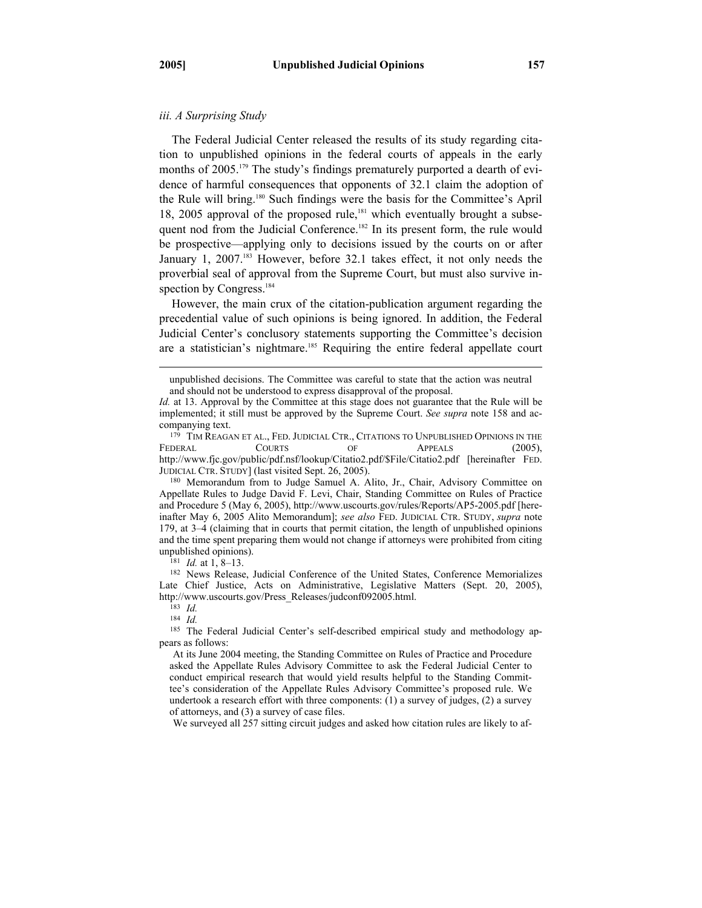$\overline{a}$ 

#### *iii. A Surprising Study*

The Federal Judicial Center released the results of its study regarding citation to unpublished opinions in the federal courts of appeals in the early months of 2005.<sup>179</sup> The study's findings prematurely purported a dearth of evidence of harmful consequences that opponents of 32.1 claim the adoption of the Rule will bring.180 Such findings were the basis for the Committee's April 18, 2005 approval of the proposed rule,<sup>181</sup> which eventually brought a subsequent nod from the Judicial Conference.<sup>182</sup> In its present form, the rule would be prospective—applying only to decisions issued by the courts on or after January 1, 2007.<sup>183</sup> However, before 32.1 takes effect, it not only needs the proverbial seal of approval from the Supreme Court, but must also survive inspection by Congress.<sup>184</sup>

However, the main crux of the citation-publication argument regarding the precedential value of such opinions is being ignored. In addition, the Federal Judicial Center's conclusory statements supporting the Committee's decision are a statistician's nightmare.<sup>185</sup> Requiring the entire federal appellate court

unpublished opinions).<br><sup>181</sup> *Id.* at 1, 8–13.<br><sup>182</sup> News Release, Judicial Conference of the United States, Conference Memorializes Late Chief Justice, Acts on Administrative, Legislative Matters (Sept. 20, 2005), http://www.uscourts.gov/Press\_Releases/judconf092005.html. 183 *Id.* 

184 *Id.* 

We surveyed all 257 sitting circuit judges and asked how citation rules are likely to af-

unpublished decisions. The Committee was careful to state that the action was neutral and should not be understood to express disapproval of the proposal.

*Id.* at 13. Approval by the Committee at this stage does not guarantee that the Rule will be implemented; it still must be approved by the Supreme Court. *See supra* note 158 and accompanying text.<br><sup>179</sup> TIM REAGAN ET AL., FED. JUDICIAL CTR., CITATIONS TO UNPUBLISHED OPINIONS IN THE

FEDERAL COURTS OF APPEALS (2005), http://www.fjc.gov/public/pdf.nsf/lookup/Citatio2.pdf/\$File/Citatio2.pdf [hereinafter FED. JUDICIAL CTR. STUDY] (last visited Sept. 26, 2005). 180 Memorandum from to Judge Samuel A. Alito, Jr., Chair, Advisory Committee on

Appellate Rules to Judge David F. Levi, Chair, Standing Committee on Rules of Practice and Procedure 5 (May 6, 2005), http://www.uscourts.gov/rules/Reports/AP5-2005.pdf [hereinafter May 6, 2005 Alito Memorandum]; *see also* FED. JUDICIAL CTR. STUDY, *supra* note 179, at 3–4 (claiming that in courts that permit citation, the length of unpublished opinions and the time spent preparing them would not change if attorneys were prohibited from citing

<sup>185</sup> The Federal Judicial Center's self-described empirical study and methodology appears as follows:

At its June 2004 meeting, the Standing Committee on Rules of Practice and Procedure asked the Appellate Rules Advisory Committee to ask the Federal Judicial Center to conduct empirical research that would yield results helpful to the Standing Committee's consideration of the Appellate Rules Advisory Committee's proposed rule. We undertook a research effort with three components: (1) a survey of judges, (2) a survey of attorneys, and (3) a survey of case files.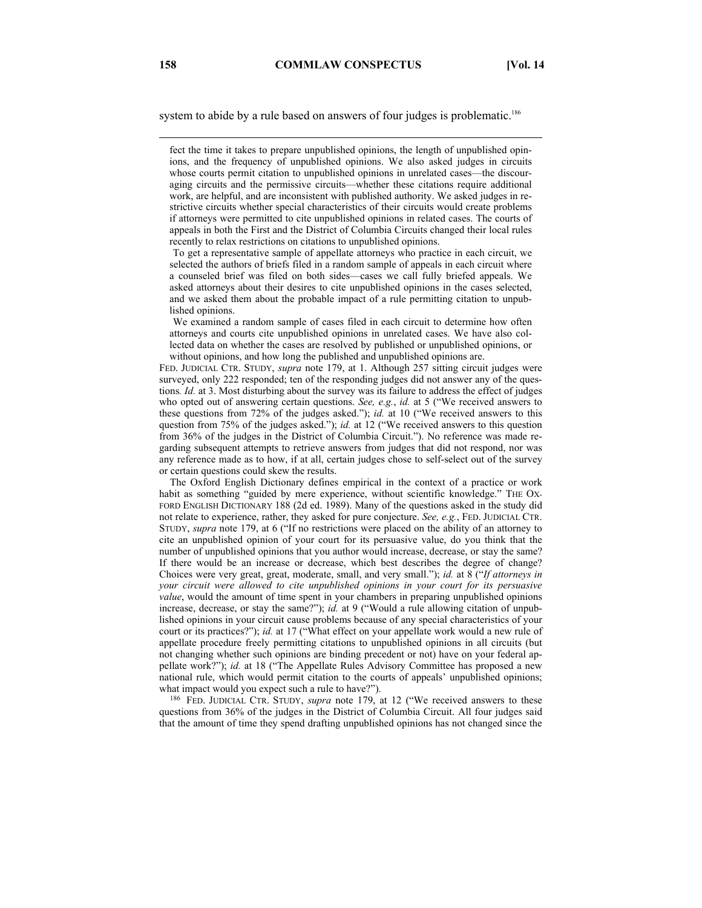system to abide by a rule based on answers of four judges is problematic.<sup>186</sup>

 To get a representative sample of appellate attorneys who practice in each circuit, we selected the authors of briefs filed in a random sample of appeals in each circuit where a counseled brief was filed on both sides—cases we call fully briefed appeals. We asked attorneys about their desires to cite unpublished opinions in the cases selected, and we asked them about the probable impact of a rule permitting citation to unpublished opinions.

 We examined a random sample of cases filed in each circuit to determine how often attorneys and courts cite unpublished opinions in unrelated cases. We have also collected data on whether the cases are resolved by published or unpublished opinions, or without opinions, and how long the published and unpublished opinions are.

FED. JUDICIAL CTR. STUDY, *supra* note 179, at 1. Although 257 sitting circuit judges were surveyed, only 222 responded; ten of the responding judges did not answer any of the questions*. Id.* at 3. Most disturbing about the survey was its failure to address the effect of judges who opted out of answering certain questions. *See, e.g.*, *id.* at 5 ("We received answers to these questions from 72% of the judges asked."); *id.* at 10 ("We received answers to this question from 75% of the judges asked."); *id.* at 12 ("We received answers to this question from 36% of the judges in the District of Columbia Circuit."). No reference was made regarding subsequent attempts to retrieve answers from judges that did not respond, nor was any reference made as to how, if at all, certain judges chose to self-select out of the survey or certain questions could skew the results.

 The Oxford English Dictionary defines empirical in the context of a practice or work habit as something "guided by mere experience, without scientific knowledge." THE OX-FORD ENGLISH DICTIONARY 188 (2d ed. 1989). Many of the questions asked in the study did not relate to experience, rather, they asked for pure conjecture. *See, e.g.*, FED. JUDICIAL CTR. STUDY, *supra* note 179, at 6 ("If no restrictions were placed on the ability of an attorney to cite an unpublished opinion of your court for its persuasive value, do you think that the number of unpublished opinions that you author would increase, decrease, or stay the same? If there would be an increase or decrease, which best describes the degree of change? Choices were very great, great, moderate, small, and very small."); *id.* at 8 ("*If attorneys in your circuit were allowed to cite unpublished opinions in your court for its persuasive value*, would the amount of time spent in your chambers in preparing unpublished opinions increase, decrease, or stay the same?"); *id.* at 9 ("Would a rule allowing citation of unpublished opinions in your circuit cause problems because of any special characteristics of your court or its practices?"); *id.* at 17 ("What effect on your appellate work would a new rule of appellate procedure freely permitting citations to unpublished opinions in all circuits (but not changing whether such opinions are binding precedent or not) have on your federal appellate work?"); *id.* at 18 ("The Appellate Rules Advisory Committee has proposed a new national rule, which would permit citation to the courts of appeals' unpublished opinions;

what impact would you expect such a rule to have?").<br><sup>186</sup> FED. JUDICIAL CTR. STUDY, *supra* note 179, at 12 ("We received answers to these questions from 36% of the judges in the District of Columbia Circuit. All four judges said that the amount of time they spend drafting unpublished opinions has not changed since the

 $\overline{a}$ 

fect the time it takes to prepare unpublished opinions, the length of unpublished opinions, and the frequency of unpublished opinions. We also asked judges in circuits whose courts permit citation to unpublished opinions in unrelated cases—the discouraging circuits and the permissive circuits—whether these citations require additional work, are helpful, and are inconsistent with published authority. We asked judges in restrictive circuits whether special characteristics of their circuits would create problems if attorneys were permitted to cite unpublished opinions in related cases. The courts of appeals in both the First and the District of Columbia Circuits changed their local rules recently to relax restrictions on citations to unpublished opinions.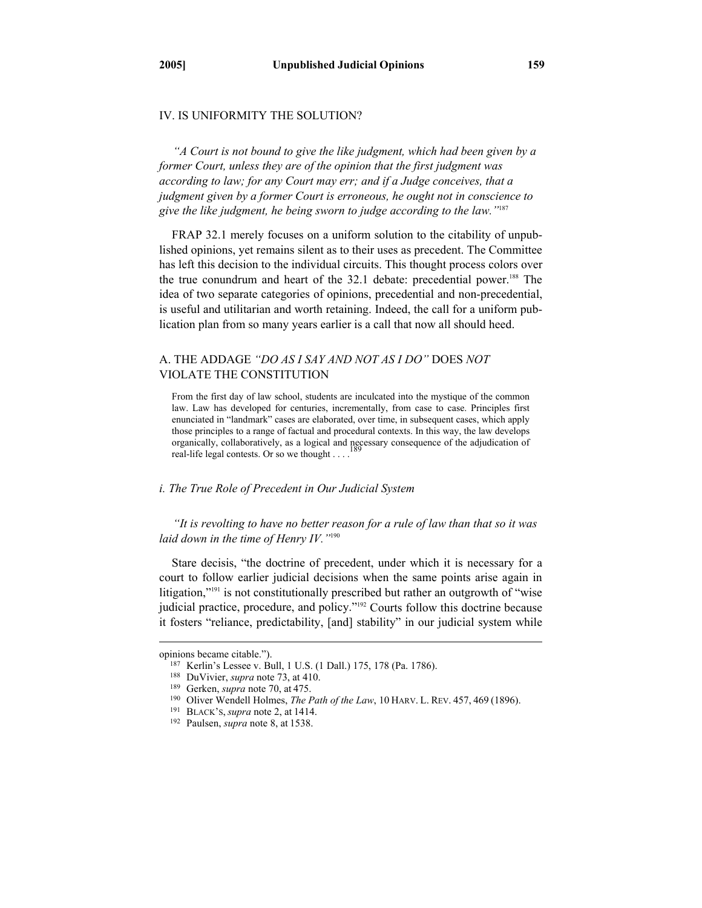## IV. IS UNIFORMITY THE SOLUTION?

*"A Court is not bound to give the like judgment, which had been given by a former Court, unless they are of the opinion that the first judgment was according to law; for any Court may err; and if a Judge conceives, that a judgment given by a former Court is erroneous, he ought not in conscience to give the like judgment, he being sworn to judge according to the law."*<sup>187</sup>

FRAP 32.1 merely focuses on a uniform solution to the citability of unpublished opinions, yet remains silent as to their uses as precedent. The Committee has left this decision to the individual circuits. This thought process colors over the true conundrum and heart of the 32.1 debate: precedential power.<sup>188</sup> The idea of two separate categories of opinions, precedential and non-precedential, is useful and utilitarian and worth retaining. Indeed, the call for a uniform publication plan from so many years earlier is a call that now all should heed.

# A. THE ADDAGE *"DO AS I SAY AND NOT AS I DO"* DOES *NOT* VIOLATE THE CONSTITUTION

From the first day of law school, students are inculcated into the mystique of the common law. Law has developed for centuries, incrementally, from case to case. Principles first enunciated in "landmark" cases are elaborated, over time, in subsequent cases, which apply those principles to a range of factual and procedural contexts. In this way, the law develops organically, collaboratively, as a logical and necessary consequence of the adjudication of real-life legal contests. Or so we thought  $\dots$ 

## *i. The True Role of Precedent in Our Judicial System*

*"It is revolting to have no better reason for a rule of law than that so it was laid down in the time of Henry IV."*<sup>190</sup>

Stare decisis, "the doctrine of precedent, under which it is necessary for a court to follow earlier judicial decisions when the same points arise again in litigation,"191 is not constitutionally prescribed but rather an outgrowth of "wise judicial practice, procedure, and policy."192 Courts follow this doctrine because it fosters "reliance, predictability, [and] stability" in our judicial system while

 $\overline{a}$ 

opinions became citable.").<br>
<sup>187</sup> Kerlin's Lessee v. Bull, 1 U.S. (1 Dall.) 175, 178 (Pa. 1786).<br>
<sup>188</sup> DuVivier, *supra* note 73, at 410.<br>
<sup>189</sup> Gerken, *supra* note 70, at 475.<br>
<sup>190</sup> Oliver Wendell Holmes, *The Path o*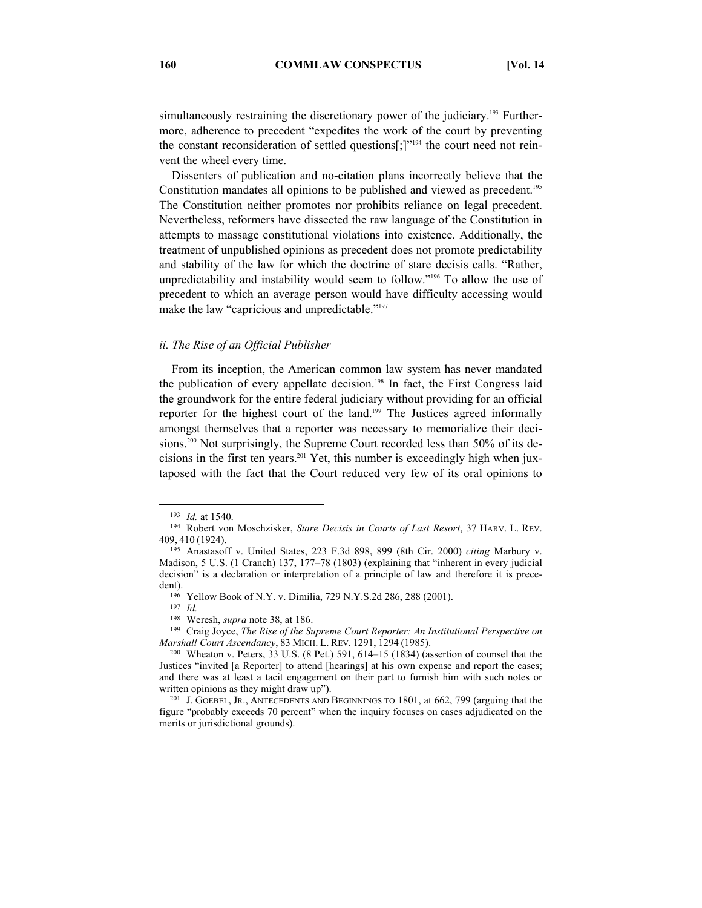simultaneously restraining the discretionary power of the judiciary.<sup>193</sup> Furthermore, adherence to precedent "expedites the work of the court by preventing the constant reconsideration of settled questions[;]"<sup>194</sup> the court need not reinvent the wheel every time.

Dissenters of publication and no-citation plans incorrectly believe that the Constitution mandates all opinions to be published and viewed as precedent.<sup>195</sup> The Constitution neither promotes nor prohibits reliance on legal precedent. Nevertheless, reformers have dissected the raw language of the Constitution in attempts to massage constitutional violations into existence. Additionally, the treatment of unpublished opinions as precedent does not promote predictability and stability of the law for which the doctrine of stare decisis calls. "Rather, unpredictability and instability would seem to follow."196 To allow the use of precedent to which an average person would have difficulty accessing would make the law "capricious and unpredictable."<sup>197</sup>

#### *ii. The Rise of an Official Publisher*

From its inception, the American common law system has never mandated the publication of every appellate decision.<sup>198</sup> In fact, the First Congress laid the groundwork for the entire federal judiciary without providing for an official reporter for the highest court of the land.199 The Justices agreed informally amongst themselves that a reporter was necessary to memorialize their decisions.<sup>200</sup> Not surprisingly, the Supreme Court recorded less than 50% of its decisions in the first ten years.201 Yet, this number is exceedingly high when juxtaposed with the fact that the Court reduced very few of its oral opinions to

<sup>199</sup> Craig Joyce, *The Rise of the Supreme Court Reporter: An Institutional Perspective on Marshall Court Ascendancy*, 83 MICH. L. REV. 1291, 1294 (1985). <sup>200</sup> Wheaton v. Peters, 33 U.S. (8 Pet.) 591, 614–15 (1834) (assertion of counsel that the

<sup>&</sup>lt;sup>193</sup> *Id.* at 1540.<br><sup>194</sup> Robert von Moschzisker, *Stare Decisis in Courts of Last Resort*, 37 HARV. L. REV. 409, <sup>410</sup> (1924). 195 Anastasoff v. United States, 223 F.3d 898, 899 (8th Cir. 2000) *citing* Marbury v.

Madison, 5 U.S. (1 Cranch) 137, 177–78 (1803) (explaining that "inherent in every judicial decision" is a declaration or interpretation of a principle of law and therefore it is prece-

dent).<br><sup>196</sup> Yellow Book of N.Y. v. Dimilia, 729 N.Y.S.2d 286, 288 (2001).<br><sup>197</sup> *Id.*<br><sup>198</sup> Weresh, *supra* note 38, at 186.

Justices "invited [a Reporter] to attend [hearings] at his own expense and report the cases; and there was at least a tacit engagement on their part to furnish him with such notes or

written opinions as they might draw up").<br><sup>201</sup> J. GOEBEL, JR., ANTECEDENTS AND BEGINNINGS TO 1801, at 662, 799 (arguing that the figure "probably exceeds 70 percent" when the inquiry focuses on cases adjudicated on the merits or jurisdictional grounds).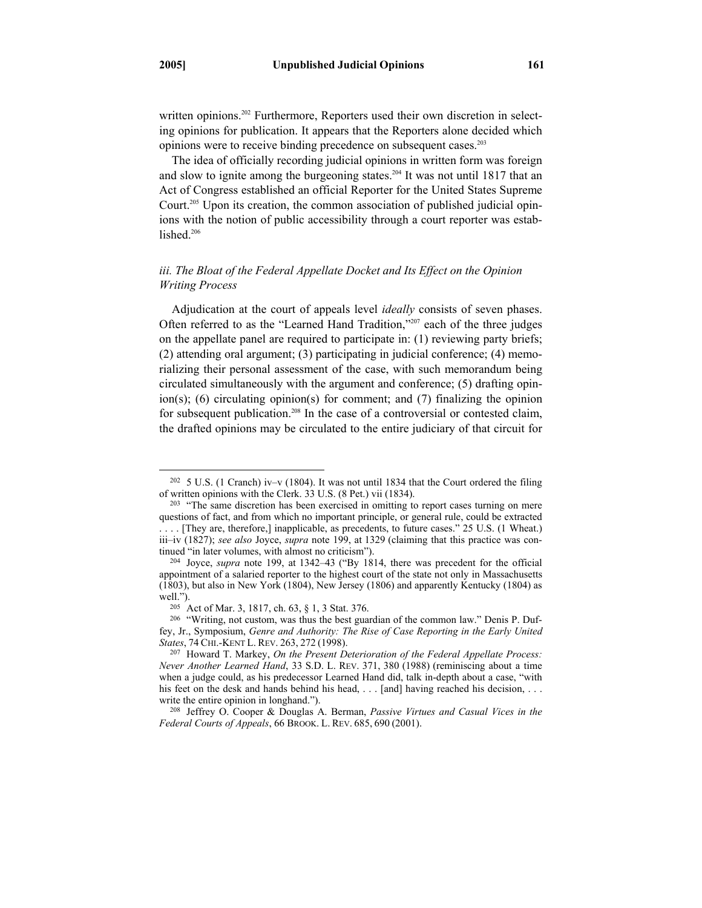written opinions.<sup>202</sup> Furthermore, Reporters used their own discretion in selecting opinions for publication. It appears that the Reporters alone decided which opinions were to receive binding precedence on subsequent cases.203

The idea of officially recording judicial opinions in written form was foreign and slow to ignite among the burgeoning states.<sup>204</sup> It was not until 1817 that an Act of Congress established an official Reporter for the United States Supreme Court.205 Upon its creation, the common association of published judicial opinions with the notion of public accessibility through a court reporter was established.<sup>206</sup>

# *iii. The Bloat of the Federal Appellate Docket and Its Effect on the Opinion Writing Process*

Adjudication at the court of appeals level *ideally* consists of seven phases. Often referred to as the "Learned Hand Tradition,"207 each of the three judges on the appellate panel are required to participate in: (1) reviewing party briefs; (2) attending oral argument; (3) participating in judicial conference; (4) memorializing their personal assessment of the case, with such memorandum being circulated simultaneously with the argument and conference; (5) drafting opinion(s); (6) circulating opinion(s) for comment; and (7) finalizing the opinion for subsequent publication.<sup>208</sup> In the case of a controversial or contested claim, the drafted opinions may be circulated to the entire judiciary of that circuit for

<sup>&</sup>lt;sup>202</sup> 5 U.S. (1 Cranch) iv–v (1804). It was not until 1834 that the Court ordered the filing of written opinions with the Clerk. 33 U.S. (8 Pet.) vii (1834).

 $203$  "The same discretion has been exercised in omitting to report cases turning on mere questions of fact, and from which no important principle, or general rule, could be extracted . . . . [They are, therefore,] inapplicable, as precedents, to future cases." 25 U.S. (1 Wheat.) iii–iv (1827); *see also Joyce, supra* note 199, at 1329 (claiming that this practice was continued "in later volumes, with almost no criticism").

<sup>&</sup>lt;sup>204</sup> Joyce, *supra* note 199, at 1342–43 ("By 1814, there was precedent for the official appointment of a salaried reporter to the highest court of the state not only in Massachusetts (1803), but also in New York (1804), New Jersey (1806) and apparently Kentucky (1804) as well.").<br><sup>205</sup> Act of Mar. 3, 1817, ch. 63, § 1, 3 Stat. 376.<br><sup>206</sup> "Writing, not custom, was thus the best guardian of the common law." Denis P. Duf-

fey, Jr., Symposium, *Genre and Authority: The Rise of Case Reporting in the Early United States*, <sup>74</sup> CHI.-KENT L. REV. 263, <sup>272</sup> (1998). 207 Howard T. Markey, *On the Present Deterioration of the Federal Appellate Process:* 

*Never Another Learned Hand*, 33 S.D. L. REV. 371, 380 (1988) (reminiscing about a time when a judge could, as his predecessor Learned Hand did, talk in-depth about a case, "with his feet on the desk and hands behind his head, ... [and] having reached his decision, ... write the entire opinion in longhand.").<br><sup>208</sup> Jeffrey O. Cooper & Douglas A. Berman, *Passive Virtues and Casual Vices in the* 

*Federal Courts of Appeals*, 66 BROOK. L. REV. 685, 690 (2001).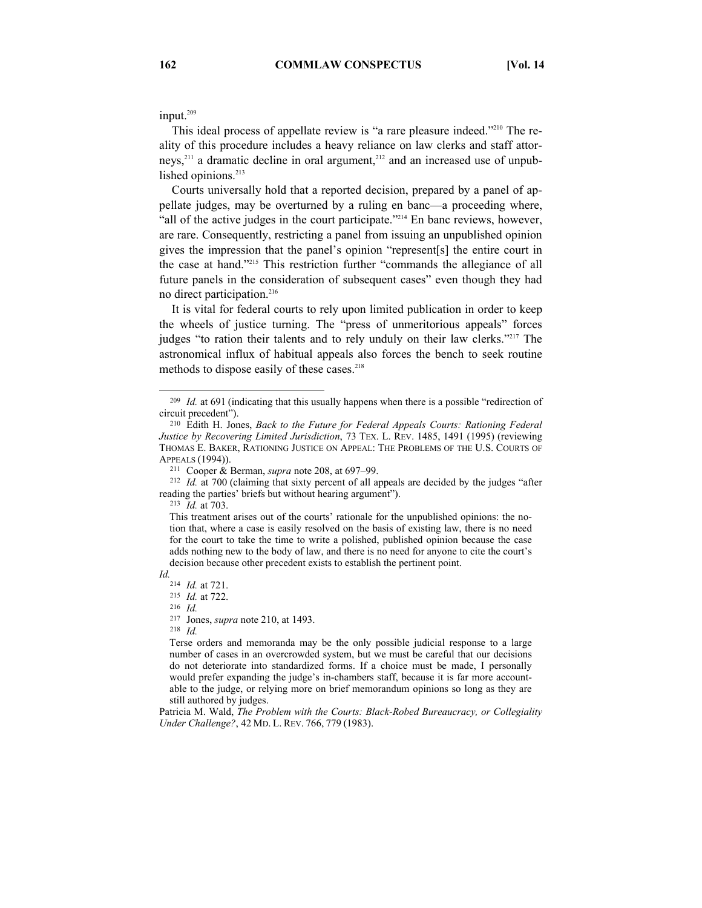input.<sup>209</sup>

This ideal process of appellate review is "a rare pleasure indeed."<sup>210</sup> The reality of this procedure includes a heavy reliance on law clerks and staff attorneys, $2^{11}$  a dramatic decline in oral argument, $2^{12}$  and an increased use of unpublished opinions.<sup>213</sup>

Courts universally hold that a reported decision, prepared by a panel of appellate judges, may be overturned by a ruling en banc—a proceeding where, "all of the active judges in the court participate."214 En banc reviews, however, are rare. Consequently, restricting a panel from issuing an unpublished opinion gives the impression that the panel's opinion "represent[s] the entire court in the case at hand."215 This restriction further "commands the allegiance of all future panels in the consideration of subsequent cases" even though they had no direct participation.<sup>216</sup>

It is vital for federal courts to rely upon limited publication in order to keep the wheels of justice turning. The "press of unmeritorious appeals" forces judges "to ration their talents and to rely unduly on their law clerks."<sup>217</sup> The astronomical influx of habitual appeals also forces the bench to seek routine methods to dispose easily of these cases.<sup>218</sup>

*Id.* 

217 Jones, *supra* note 210, at 1493. 218 *Id.* 

Patricia M. Wald, *The Problem with the Courts: Black-Robed Bureaucracy, or Collegiality Under Challenge?*, 42 MD. L. REV. 766, 779 (1983).

<sup>&</sup>lt;sup>209</sup> Id. at 691 (indicating that this usually happens when there is a possible "redirection of circuit precedent"). 210 Edith H. Jones, *Back to the Future for Federal Appeals Courts: Rationing Federal* 

*Justice by Recovering Limited Jurisdiction*, 73 TEX. L. REV. 1485, 1491 (1995) (reviewing THOMAS E. BAKER, RATIONING JUSTICE ON APPEAL: THE PROBLEMS OF THE U.S. COURTS OF APPEALS (1994)).<br><sup>211</sup> Cooper & Berman, *supra* note 208, at 697–99.<br><sup>212</sup> *Id.* at 700 (claiming that sixty percent of all appeals are decided by the judges "after

reading the parties' briefs but without hearing argument"). 213 *Id.* at 703.

This treatment arises out of the courts' rationale for the unpublished opinions: the notion that, where a case is easily resolved on the basis of existing law, there is no need for the court to take the time to write a polished, published opinion because the case adds nothing new to the body of law, and there is no need for anyone to cite the court's decision because other precedent exists to establish the pertinent point.

<sup>214</sup> *Id.* at 721. 215 *Id.* at 722. 216 *Id.* 

Terse orders and memoranda may be the only possible judicial response to a large number of cases in an overcrowded system, but we must be careful that our decisions do not deteriorate into standardized forms. If a choice must be made, I personally would prefer expanding the judge's in-chambers staff, because it is far more accountable to the judge, or relying more on brief memorandum opinions so long as they are still authored by judges.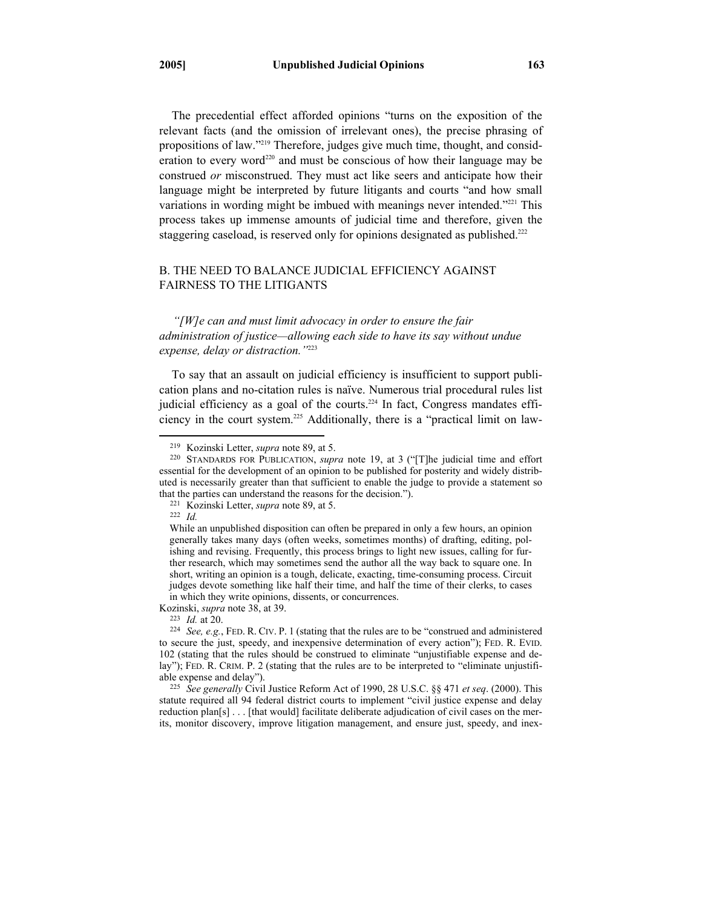The precedential effect afforded opinions "turns on the exposition of the relevant facts (and the omission of irrelevant ones), the precise phrasing of propositions of law."219 Therefore, judges give much time, thought, and consideration to every word<sup>220</sup> and must be conscious of how their language may be construed *or* misconstrued. They must act like seers and anticipate how their language might be interpreted by future litigants and courts "and how small variations in wording might be imbued with meanings never intended."<sup>221</sup> This process takes up immense amounts of judicial time and therefore, given the staggering caseload, is reserved only for opinions designated as published.<sup>222</sup>

# B. THE NEED TO BALANCE JUDICIAL EFFICIENCY AGAINST FAIRNESS TO THE LITIGANTS

*"[W]e can and must limit advocacy in order to ensure the fair administration of justice—allowing each side to have its say without undue expense, delay or distraction."*<sup>223</sup>

To say that an assault on judicial efficiency is insufficient to support publication plans and no-citation rules is naïve. Numerous trial procedural rules list judicial efficiency as a goal of the courts.<sup>224</sup> In fact, Congress mandates efficiency in the court system.225 Additionally, there is a "practical limit on law-

 <sup>219</sup> Kozinski Letter, *supra* note 89, at 5. 220 STANDARDS FOR PUBLICATION, *supra* note 19, at <sup>3</sup> ("[T]he judicial time and effort essential for the development of an opinion to be published for posterity and widely distributed is necessarily greater than that sufficient to enable the judge to provide a statement so that the parties can understand the reasons for the decision."). 221 Kozinski Letter, *supra* note 89, at 5. 222 *Id.* 

While an unpublished disposition can often be prepared in only a few hours, an opinion generally takes many days (often weeks, sometimes months) of drafting, editing, polishing and revising. Frequently, this process brings to light new issues, calling for further research, which may sometimes send the author all the way back to square one. In short, writing an opinion is a tough, delicate, exacting, time-consuming process. Circuit judges devote something like half their time, and half the time of their clerks, to cases in which they write opinions, dissents, or concurrences.

Kozinski, *supra* note 38, at 39.<br><sup>223</sup> *Id.* at 20.<br><sup>224</sup> *See, e.g.*, FED. R. CIV. P. 1 (stating that the rules are to be "construed and administered to secure the just, speedy, and inexpensive determination of every action"); FED. R. EVID. 102 (stating that the rules should be construed to eliminate "unjustifiable expense and delay"); FED. R. CRIM. P. 2 (stating that the rules are to be interpreted to "eliminate unjustifiable expense and delay"). 225 *See generally* Civil Justice Reform Act of 1990, 28 U.S.C. §§ 471 *et seq*. (2000). This

statute required all 94 federal district courts to implement "civil justice expense and delay reduction plan[s] . . . [that would] facilitate deliberate adjudication of civil cases on the merits, monitor discovery, improve litigation management, and ensure just, speedy, and inex-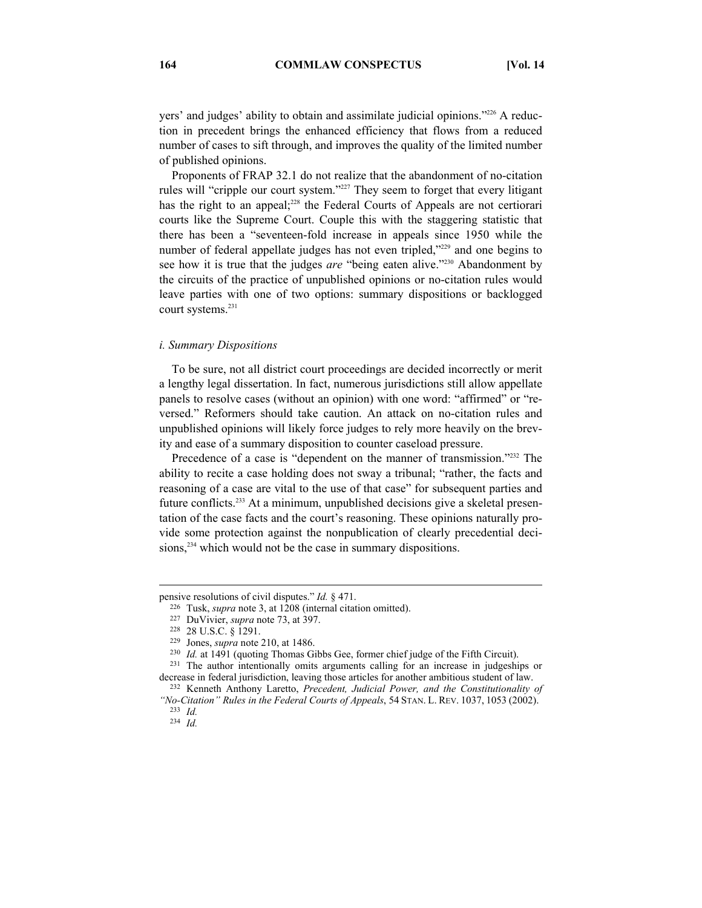yers' and judges' ability to obtain and assimilate judicial opinions."226 A reduction in precedent brings the enhanced efficiency that flows from a reduced number of cases to sift through, and improves the quality of the limited number of published opinions.

Proponents of FRAP 32.1 do not realize that the abandonment of no-citation rules will "cripple our court system."227 They seem to forget that every litigant has the right to an appeal;<sup>228</sup> the Federal Courts of Appeals are not certiorari courts like the Supreme Court. Couple this with the staggering statistic that there has been a "seventeen-fold increase in appeals since 1950 while the number of federal appellate judges has not even tripled,"<sup>229</sup> and one begins to see how it is true that the judges *are* "being eaten alive."<sup>230</sup> Abandonment by the circuits of the practice of unpublished opinions or no-citation rules would leave parties with one of two options: summary dispositions or backlogged court systems.<sup>231</sup>

## *i. Summary Dispositions*

To be sure, not all district court proceedings are decided incorrectly or merit a lengthy legal dissertation. In fact, numerous jurisdictions still allow appellate panels to resolve cases (without an opinion) with one word: "affirmed" or "reversed." Reformers should take caution. An attack on no-citation rules and unpublished opinions will likely force judges to rely more heavily on the brevity and ease of a summary disposition to counter caseload pressure.

Precedence of a case is "dependent on the manner of transmission."<sup>232</sup> The ability to recite a case holding does not sway a tribunal; "rather, the facts and reasoning of a case are vital to the use of that case" for subsequent parties and future conflicts.233 At a minimum, unpublished decisions give a skeletal presentation of the case facts and the court's reasoning. These opinions naturally provide some protection against the nonpublication of clearly precedential decisions,<sup>234</sup> which would not be the case in summary dispositions.

 $\overline{a}$ 

pensive resolutions of civil disputes." *Id.* § 471.<br><sup>226</sup> Tusk, *supra* note 3, at 1208 (internal citation omitted).<br><sup>227</sup> DuVivier, *supra* note 73, at 397.<br><sup>228</sup> 28 U.S.C. § 1291.<br><sup>229</sup> Jones, *supra* note 210, at 1486

decrease in federal jurisdiction, leaving those articles for another ambitious student of law. 232 Kenneth Anthony Laretto, *Precedent, Judicial Power, and the Constitutionality of* 

*<sup>&</sup>quot;No-Citation" Rules in the Federal Courts of Appeals*, 54 STAN. L. REV. 1037, <sup>1053</sup> (2002). 233 *Id.* 

<sup>234</sup> *Id.*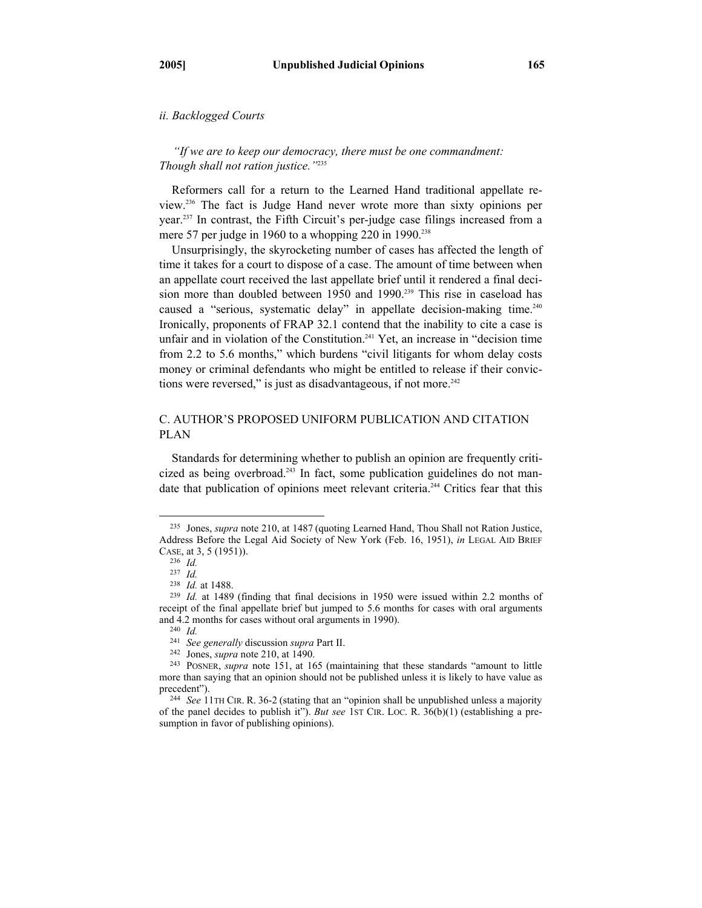## *ii. Backlogged Courts*

*"If we are to keep our democracy, there must be one commandment: Though shall not ration justice."*<sup>235</sup>

Reformers call for a return to the Learned Hand traditional appellate review.236 The fact is Judge Hand never wrote more than sixty opinions per year.237 In contrast, the Fifth Circuit's per-judge case filings increased from a mere 57 per judge in 1960 to a whopping 220 in 1990.<sup>238</sup>

Unsurprisingly, the skyrocketing number of cases has affected the length of time it takes for a court to dispose of a case. The amount of time between when an appellate court received the last appellate brief until it rendered a final decision more than doubled between 1950 and 1990.<sup>239</sup> This rise in caseload has caused a "serious, systematic delay" in appellate decision-making time.<sup>240</sup> Ironically, proponents of FRAP 32.1 contend that the inability to cite a case is unfair and in violation of the Constitution.<sup>241</sup> Yet, an increase in "decision time from 2.2 to 5.6 months," which burdens "civil litigants for whom delay costs money or criminal defendants who might be entitled to release if their convictions were reversed," is just as disadvantageous, if not more. $242$ 

# C. AUTHOR'S PROPOSED UNIFORM PUBLICATION AND CITATION PLAN

Standards for determining whether to publish an opinion are frequently criticized as being overbroad.<sup>243</sup> In fact, some publication guidelines do not mandate that publication of opinions meet relevant criteria.<sup>244</sup> Critics fear that this

 <sup>235</sup> Jones, *supra* note 210, at 1487 (quoting Learned Hand, Thou Shall not Ration Justice, Address Before the Legal Aid Society of New York (Feb. 16, 1951), *in* LEGAL AID BRIEF CASE, at 3, 5 (1951)). 236 *Id.*

<sup>237</sup> *Id.*<br><sup>238</sup> *Id.* at 1488.

<sup>&</sup>lt;sup>239</sup> *Id.* at 1489 (finding that final decisions in 1950 were issued within 2.2 months of receipt of the final appellate brief but jumped to 5.6 months for cases with oral arguments and 4.2 months for cases without oral arguments in 1990).<br><sup>240</sup> *Id. See generally* discussion *supra* Part II.

<sup>&</sup>lt;sup>242</sup> Jones, *supra* note 210, at 1490.<br><sup>243</sup> POSNER, *supra* note 151, at 165 (maintaining that these standards "amount to little more than saying that an opinion should not be published unless it is likely to have value as precedent").<br><sup>244</sup> *See* 11TH CIR. R. 36-2 (stating that an "opinion shall be unpublished unless a majority

of the panel decides to publish it"). *But see* 1ST CIR. LOC. R. 36(b)(1) (establishing a presumption in favor of publishing opinions).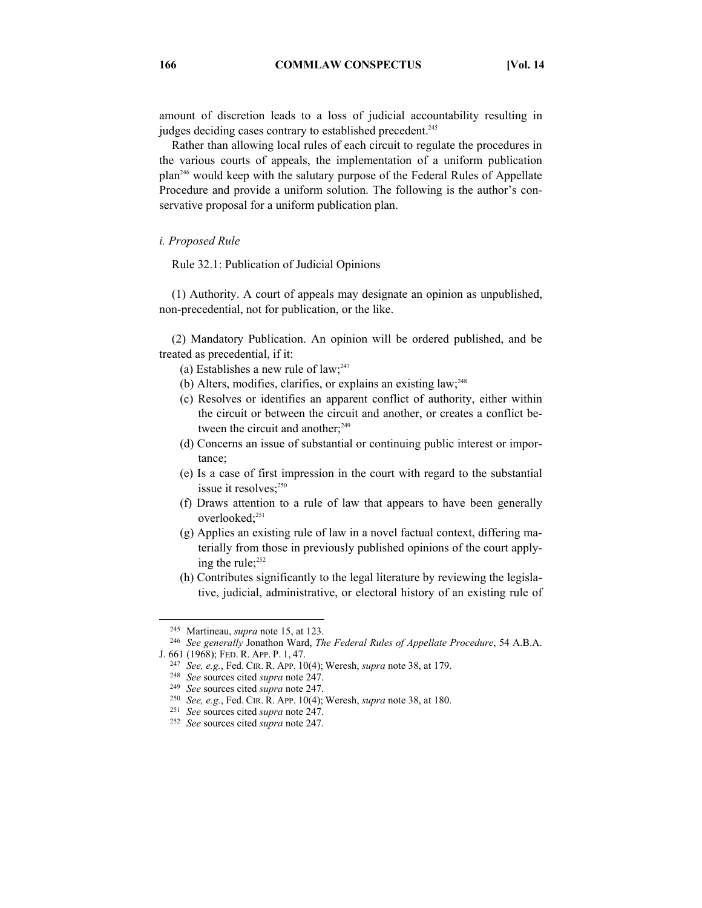amount of discretion leads to a loss of judicial accountability resulting in judges deciding cases contrary to established precedent.<sup>245</sup>

Rather than allowing local rules of each circuit to regulate the procedures in the various courts of appeals, the implementation of a uniform publication plan246 would keep with the salutary purpose of the Federal Rules of Appellate Procedure and provide a uniform solution. The following is the author's conservative proposal for a uniform publication plan.

#### *i. Proposed Rule*

Rule 32.1: Publication of Judicial Opinions

(1) Authority. A court of appeals may designate an opinion as unpublished, non-precedential, not for publication, or the like.

(2) Mandatory Publication. An opinion will be ordered published, and be treated as precedential, if it:

- (a) Establishes a new rule of law; $247$
- (b) Alters, modifies, clarifies, or explains an existing law; $^{248}$
- (c) Resolves or identifies an apparent conflict of authority, either within the circuit or between the circuit and another, or creates a conflict between the circuit and another;<sup>249</sup>
- (d) Concerns an issue of substantial or continuing public interest or importance;
- (e) Is a case of first impression in the court with regard to the substantial issue it resolves;<sup>250</sup>
- (f) Draws attention to a rule of law that appears to have been generally overlooked;<sup>251</sup>
- (g) Applies an existing rule of law in a novel factual context, differing materially from those in previously published opinions of the court applying the rule;<sup>252</sup>
- (h) Contributes significantly to the legal literature by reviewing the legislative, judicial, administrative, or electoral history of an existing rule of

<sup>&</sup>lt;sup>245</sup> Martineau, *supra* note 15, at 123.<br><sup>246</sup> See generally Jonathon Ward, *The Federal Rules of Appellate Procedure*, 54 A.B.A.<br>J. 661 (1968); FED. R. App. P. 1, 47.

<sup>&</sup>lt;sup>247</sup> *See, e.g., Fed. CIR. R. APP.* 10(4); Weresh, *supra* note 38, at 179.<br><sup>248</sup> *See sources cited supra* note 247.<br><sup>249</sup> *See sources cited supra* note 247.

<sup>250</sup> *See, e.g.*, Fed. CIR. R. APP. 10(4); Weresh, *supra* note 38, at 180. 251 *See* sources cited *supra* note 247. 252 *See* sources cited *supra* note 247.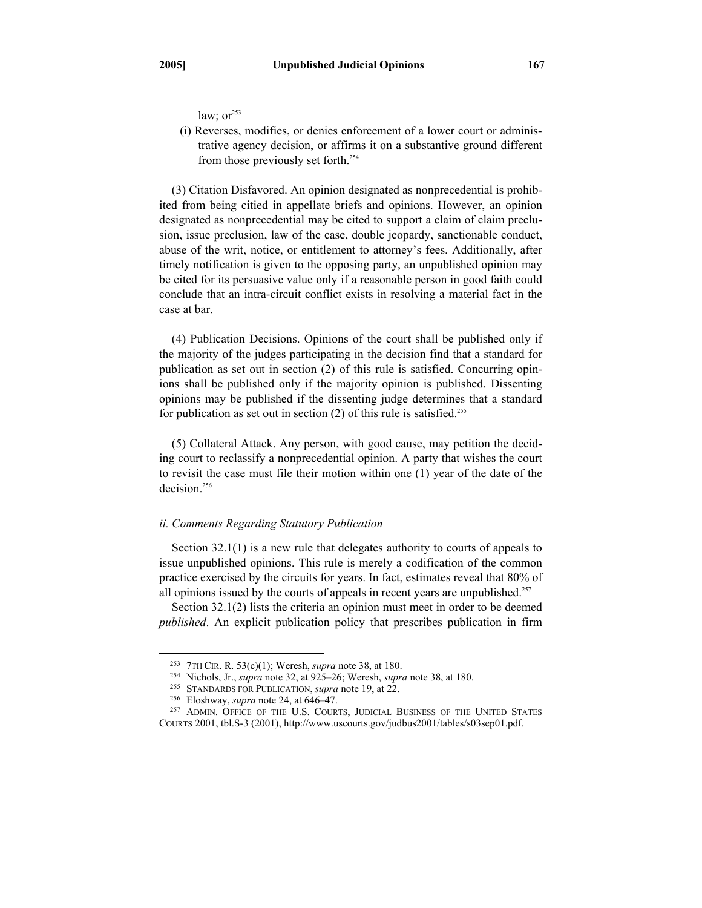law;  $or<sup>253</sup>$ 

(i) Reverses, modifies, or denies enforcement of a lower court or administrative agency decision, or affirms it on a substantive ground different from those previously set forth.<sup>254</sup>

(3) Citation Disfavored. An opinion designated as nonprecedential is prohibited from being citied in appellate briefs and opinions. However, an opinion designated as nonprecedential may be cited to support a claim of claim preclusion, issue preclusion, law of the case, double jeopardy, sanctionable conduct, abuse of the writ, notice, or entitlement to attorney's fees. Additionally, after timely notification is given to the opposing party, an unpublished opinion may be cited for its persuasive value only if a reasonable person in good faith could conclude that an intra-circuit conflict exists in resolving a material fact in the case at bar.

(4) Publication Decisions. Opinions of the court shall be published only if the majority of the judges participating in the decision find that a standard for publication as set out in section (2) of this rule is satisfied. Concurring opinions shall be published only if the majority opinion is published. Dissenting opinions may be published if the dissenting judge determines that a standard for publication as set out in section  $(2)$  of this rule is satisfied.<sup>255</sup>

(5) Collateral Attack. Any person, with good cause, may petition the deciding court to reclassify a nonprecedential opinion. A party that wishes the court to revisit the case must file their motion within one (1) year of the date of the decision.<sup>256</sup>

## *ii. Comments Regarding Statutory Publication*

Section 32.1(1) is a new rule that delegates authority to courts of appeals to issue unpublished opinions. This rule is merely a codification of the common practice exercised by the circuits for years. In fact, estimates reveal that 80% of all opinions issued by the courts of appeals in recent years are unpublished.<sup>257</sup>

Section 32.1(2) lists the criteria an opinion must meet in order to be deemed *published*. An explicit publication policy that prescribes publication in firm

<sup>&</sup>lt;sup>253</sup> 7TH CIR. R. 53(c)(1); Weresh, *supra* note 38, at 180.<br><sup>254</sup> Nichols, Jr., *supra* note 32, at 925–26; Weresh, *supra* note 38, at 180.<br><sup>255</sup> STANDARDS FOR PUBLICATION, *supra* note 19, at 22.<br><sup>256</sup> Eloshway, *supra* COURTS 2001, tbl.S-3 (2001), http://www.uscourts.gov/judbus2001/tables/s03sep01.pdf.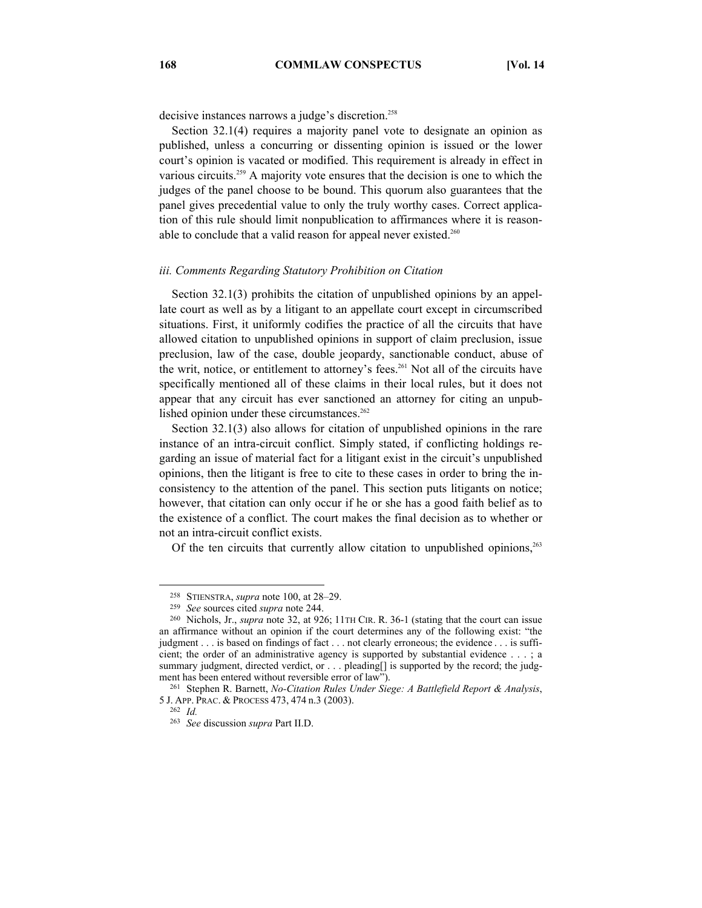decisive instances narrows a judge's discretion.<sup>258</sup>

Section 32.1(4) requires a majority panel vote to designate an opinion as published, unless a concurring or dissenting opinion is issued or the lower court's opinion is vacated or modified. This requirement is already in effect in various circuits.259 A majority vote ensures that the decision is one to which the judges of the panel choose to be bound. This quorum also guarantees that the panel gives precedential value to only the truly worthy cases. Correct application of this rule should limit nonpublication to affirmances where it is reasonable to conclude that a valid reason for appeal never existed.<sup>260</sup>

## *iii. Comments Regarding Statutory Prohibition on Citation*

Section 32.1(3) prohibits the citation of unpublished opinions by an appellate court as well as by a litigant to an appellate court except in circumscribed situations. First, it uniformly codifies the practice of all the circuits that have allowed citation to unpublished opinions in support of claim preclusion, issue preclusion, law of the case, double jeopardy, sanctionable conduct, abuse of the writ, notice, or entitlement to attorney's fees.261 Not all of the circuits have specifically mentioned all of these claims in their local rules, but it does not appear that any circuit has ever sanctioned an attorney for citing an unpublished opinion under these circumstances.<sup>262</sup>

Section 32.1(3) also allows for citation of unpublished opinions in the rare instance of an intra-circuit conflict. Simply stated, if conflicting holdings regarding an issue of material fact for a litigant exist in the circuit's unpublished opinions, then the litigant is free to cite to these cases in order to bring the inconsistency to the attention of the panel. This section puts litigants on notice; however, that citation can only occur if he or she has a good faith belief as to the existence of a conflict. The court makes the final decision as to whether or not an intra-circuit conflict exists.

Of the ten circuits that currently allow citation to unpublished opinions, $263$ 

 <sup>258</sup> STIENSTRA, *supra* note 100, at 28–29. 259 *See* sources cited *supra* note 244. 260 Nichols, Jr., *supra* note 32, at 926; 11TH CIR. R. 36-1 (stating that the court can issue an affirmance without an opinion if the court determines any of the following exist: "the judgment . . . is based on findings of fact . . . not clearly erroneous; the evidence . . . is sufficient; the order of an administrative agency is supported by substantial evidence . . . ; a summary judgment, directed verdict, or . . . pleading as supported by the record; the judgment has been entered without reversible error of law").<br><sup>261</sup> Stephen R. Barnett, *No-Citation Rules Under Siege: A Battlefield Report & Analysis*,

<sup>5</sup> J. APP. PRAC. & PROCESS 473, <sup>474</sup> n.3 (2003). 262 *Id.* 

<sup>263</sup> *See* discussion *supra* Part II.D.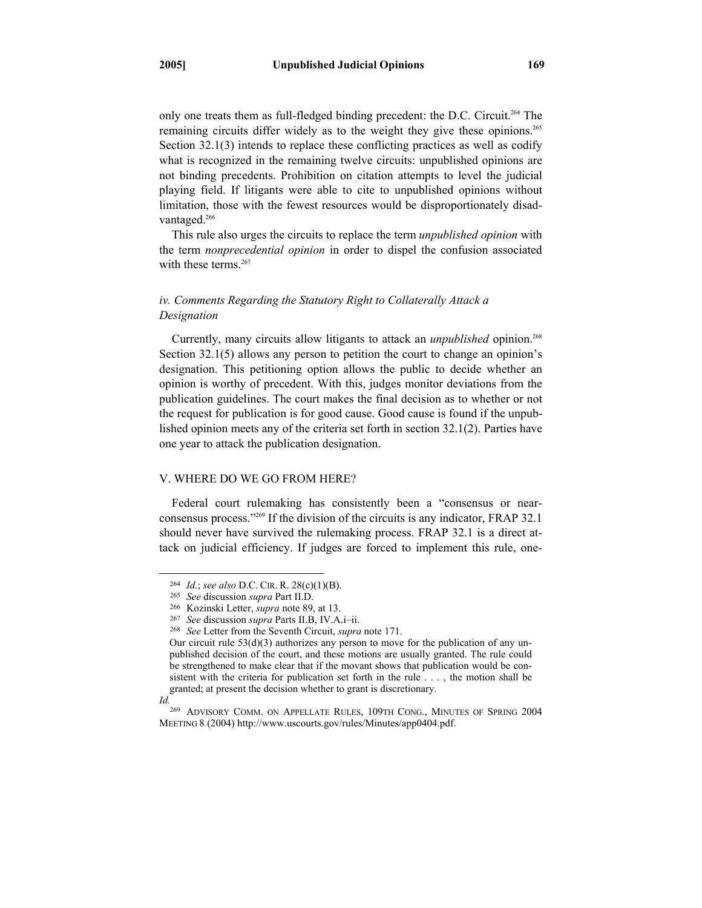only one treats them as full-fledged binding precedent: the D.C. Circuit.264 The remaining circuits differ widely as to the weight they give these opinions.<sup>265</sup> Section 32.1(3) intends to replace these conflicting practices as well as codify what is recognized in the remaining twelve circuits: unpublished opinions are not binding precedents. Prohibition on citation attempts to level the judicial playing field. If litigants were able to cite to unpublished opinions without limitation, those with the fewest resources would be disproportionately disadvantaged.<sup>266</sup>

This rule also urges the circuits to replace the term *unpublished opinion* with the term *nonprecedential opinion* in order to dispel the confusion associated with these terms  $267$ 

# *iv. Comments Regarding the Statutory Right to Collaterally Attack a Designation*

Currently, many circuits allow litigants to attack an *unpublished* opinion.<sup>268</sup> Section 32.1(5) allows any person to petition the court to change an opinion's designation. This petitioning option allows the public to decide whether an opinion is worthy of precedent. With this, judges monitor deviations from the publication guidelines. The court makes the final decision as to whether or not the request for publication is for good cause. Good cause is found if the unpublished opinion meets any of the criteria set forth in section 32.1(2). Parties have one year to attack the publication designation.

# V. WHERE DO WE GO FROM HERE?

Federal court rulemaking has consistently been a "consensus or nearconsensus process."269 If the division of the circuits is any indicator, FRAP 32.1 should never have survived the rulemaking process. FRAP 32.1 is a direct attack on judicial efficiency. If judges are forced to implement this rule, one-

<sup>&</sup>lt;sup>264</sup> *Id.*; *see also* D.C. CIR. R. 28(c)(1)(B).<br><sup>265</sup> *See* discussion *supra* Part II.D.<br><sup>266</sup> Kozinski Letter, *supra* note 89, at 13.<br><sup>267</sup> *See* discussion *supra* Parts II.B, IV.A.i–ii.<br><sup>268</sup> *See* Letter from the

Our circuit rule 53(d)(3) authorizes any person to move for the publication of any unpublished decision of the court, and these motions are usually granted. The rule could be strengthened to make clear that if the movant shows that publication would be consistent with the criteria for publication set forth in the rule . . . , the motion shall be granted; at present the decision whether to grant is discretionary.

*Id.* 

<sup>269</sup> ADVISORY COMM. ON APPELLATE RULES, 109TH CONG., MINUTES OF SPRING 2004 MEETING 8 (2004) http://www.uscourts.gov/rules/Minutes/app0404.pdf.